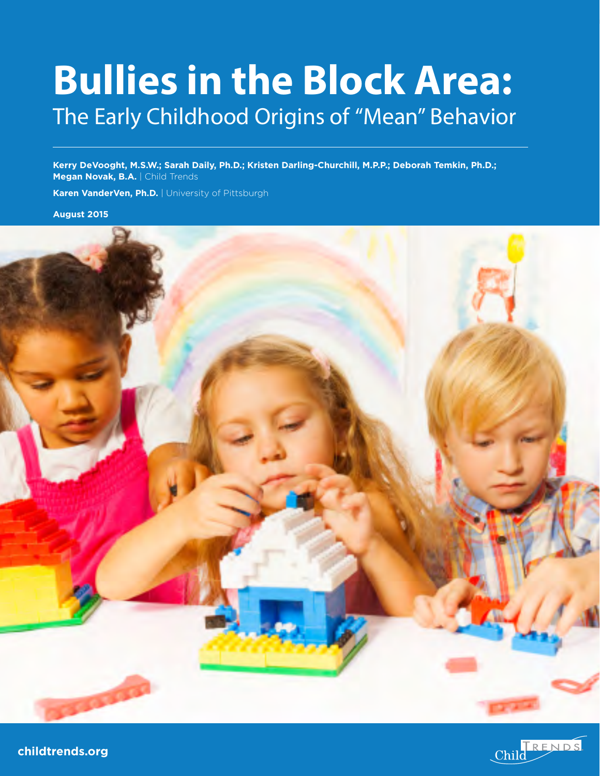# **Bullies in the Block Area:**  The Early Childhood Origins of "Mean" Behavior

**Kerry DeVooght, M.S.W.; Sarah Daily, Ph.D.; Kristen Darling-Churchill, M.P.P.; Deborah Temkin, Ph.D.; Megan Novak, B.A.** | Child Trends

**Karen VanderVen, Ph.D.** | University of Pittsburgh

**August 2015**





**childtrends.org**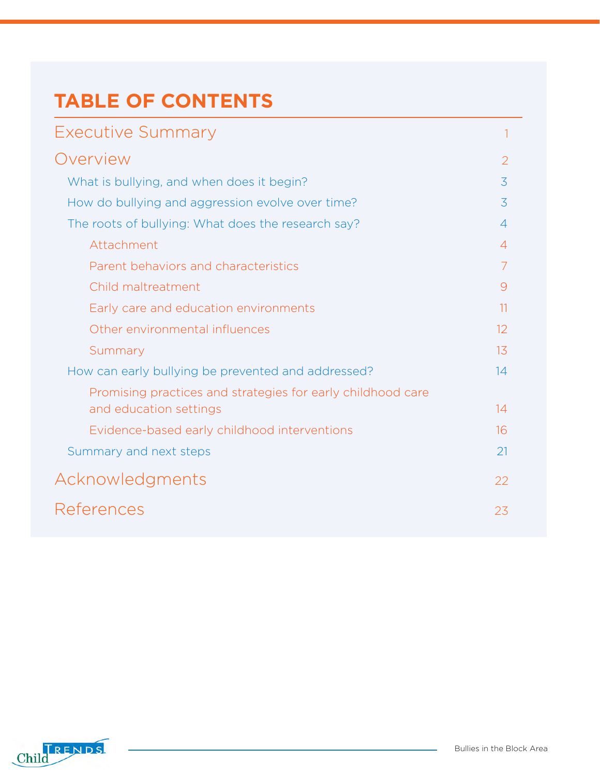# **TABLE OF CONTENTS**

| Executive Summary                                           |                |
|-------------------------------------------------------------|----------------|
| Overview                                                    | 2              |
| What is bullying, and when does it begin?                   | 3              |
| How do bullying and aggression evolve over time?            | 3              |
| The roots of bullying: What does the research say?          | $\overline{4}$ |
| Attachment                                                  | $\overline{4}$ |
| Parent behaviors and characteristics                        | 7              |
| Child maltreatment                                          | 9              |
| Early care and education environments                       | 11             |
| Other environmental influences                              | 12             |
| Summary                                                     | 13             |
| How can early bullying be prevented and addressed?          | 14             |
| Promising practices and strategies for early childhood care |                |
| and education settings                                      | 14             |
| Evidence-based early childhood interventions                | 16             |
| Summary and next steps                                      | 21             |
| Acknowledgments                                             | 22             |
| References                                                  | 23             |

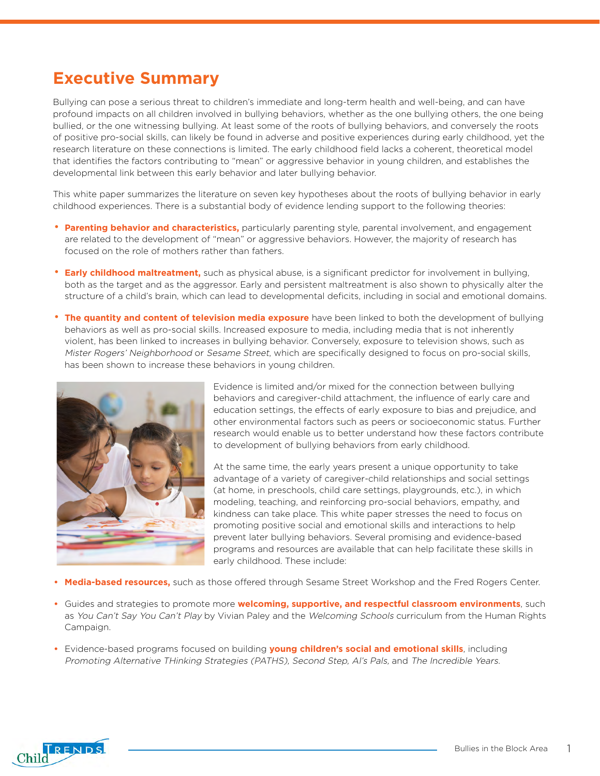# **Executive Summary**

Bullying can pose a serious threat to children's immediate and long-term health and well-being, and can have profound impacts on all children involved in bullying behaviors, whether as the one bullying others, the one being bullied, or the one witnessing bullying. At least some of the roots of bullying behaviors, and conversely the roots of positive pro-social skills, can likely be found in adverse and positive experiences during early childhood, yet the research literature on these connections is limited. The early childhood field lacks a coherent, theoretical model that identifies the factors contributing to "mean" or aggressive behavior in young children, and establishes the developmental link between this early behavior and later bullying behavior.

This white paper summarizes the literature on seven key hypotheses about the roots of bullying behavior in early childhood experiences. There is a substantial body of evidence lending support to the following theories:

- **Parenting behavior and characteristics,** particularly parenting style, parental involvement, and engagement are related to the development of "mean" or aggressive behaviors. However, the majority of research has focused on the role of mothers rather than fathers.
- **Early childhood maltreatment,** such as physical abuse, is a significant predictor for involvement in bullying, both as the target and as the aggressor. Early and persistent maltreatment is also shown to physically alter the structure of a child's brain, which can lead to developmental deficits, including in social and emotional domains.
- **The quantity and content of television media exposure** have been linked to both the development of bullying behaviors as well as pro-social skills. Increased exposure to media, including media that is not inherently violent, has been linked to increases in bullying behavior. Conversely, exposure to television shows, such as Mister Rogers' Neighborhood or Sesame Street, which are specifically designed to focus on pro-social skills, has been shown to increase these behaviors in young children.



Evidence is limited and/or mixed for the connection between bullying behaviors and caregiver-child attachment, the influence of early care and education settings, the effects of early exposure to bias and prejudice, and other environmental factors such as peers or socioeconomic status. Further research would enable us to better understand how these factors contribute to development of bullying behaviors from early childhood.

At the same time, the early years present a unique opportunity to take advantage of a variety of caregiver-child relationships and social settings (at home, in preschools, child care settings, playgrounds, etc.), in which modeling, teaching, and reinforcing pro-social behaviors, empathy, and kindness can take place. This white paper stresses the need to focus on promoting positive social and emotional skills and interactions to help prevent later bullying behaviors. Several promising and evidence-based programs and resources are available that can help facilitate these skills in early childhood. These include:

- **• Media-based resources,** such as those offered through Sesame Street Workshop and the Fred Rogers Center.
- **•** Guides and strategies to promote more **welcoming, supportive, and respectful classroom environments**, such as You Can't Say You Can't Play by Vivian Paley and the Welcoming Schools curriculum from the Human Rights Campaign.
- **•** Evidence-based programs focused on building **young children's social and emotional skills**, including Promoting Alternative THinking Strategies (PATHS), Second Step, Al's Pals, and The Incredible Years.

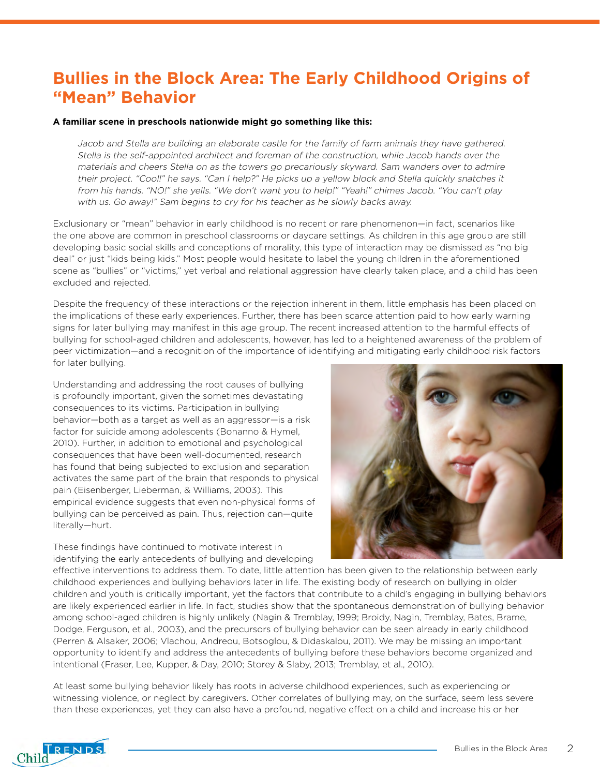# **Bullies in the Block Area: The Early Childhood Origins of "Mean" Behavior**

#### **A familiar scene in preschools nationwide might go something like this:**

Jacob and Stella are building an elaborate castle for the family of farm animals they have gathered. Stella is the self-appointed architect and foreman of the construction, while Jacob hands over the materials and cheers Stella on as the towers go precariously skyward. Sam wanders over to admire their project. "Cool!" he says. "Can I help?" He picks up a yellow block and Stella quickly snatches it from his hands. "NO!" she yells. "We don't want you to help!" "Yeah!" chimes Jacob. "You can't play with us. Go away!" Sam begins to cry for his teacher as he slowly backs away.

Exclusionary or "mean" behavior in early childhood is no recent or rare phenomenon—in fact, scenarios like the one above are common in preschool classrooms or daycare settings. As children in this age group are still developing basic social skills and conceptions of morality, this type of interaction may be dismissed as "no big deal" or just "kids being kids." Most people would hesitate to label the young children in the aforementioned scene as "bullies" or "victims," yet verbal and relational aggression have clearly taken place, and a child has been excluded and rejected.

Despite the frequency of these interactions or the rejection inherent in them, little emphasis has been placed on the implications of these early experiences. Further, there has been scarce attention paid to how early warning signs for later bullying may manifest in this age group. The recent increased attention to the harmful effects of bullying for school-aged children and adolescents, however, has led to a heightened awareness of the problem of peer victimization—and a recognition of the importance of identifying and mitigating early childhood risk factors for later bullying.

Understanding and addressing the root causes of bullying is profoundly important, given the sometimes devastating consequences to its victims. Participation in bullying behavior—both as a target as well as an aggressor—is a risk factor for suicide among adolescents (Bonanno & Hymel, 2010). Further, in addition to emotional and psychological consequences that have been well-documented, research has found that being subjected to exclusion and separation activates the same part of the brain that responds to physical pain (Eisenberger, Lieberman, & Williams, 2003). This empirical evidence suggests that even non-physical forms of bullying can be perceived as pain. Thus, rejection can—quite literally—hurt.

These findings have continued to motivate interest in identifying the early antecedents of bullying and developing



effective interventions to address them. To date, little attention has been given to the relationship between early childhood experiences and bullying behaviors later in life. The existing body of research on bullying in older children and youth is critically important, yet the factors that contribute to a child's engaging in bullying behaviors are likely experienced earlier in life. In fact, studies show that the spontaneous demonstration of bullying behavior among school-aged children is highly unlikely (Nagin & Tremblay, 1999; Broidy, Nagin, Tremblay, Bates, Brame, Dodge, Ferguson, et al., 2003), and the precursors of bullying behavior can be seen already in early childhood (Perren & Alsaker, 2006; Vlachou, Andreou, Botsoglou, & Didaskalou, 2011). We may be missing an important opportunity to identify and address the antecedents of bullying before these behaviors become organized and intentional (Fraser, Lee, Kupper, & Day, 2010; Storey & Slaby, 2013; Tremblay, et al., 2010).

At least some bullying behavior likely has roots in adverse childhood experiences, such as experiencing or witnessing violence, or neglect by caregivers. Other correlates of bullying may, on the surface, seem less severe than these experiences, yet they can also have a profound, negative effect on a child and increase his or her

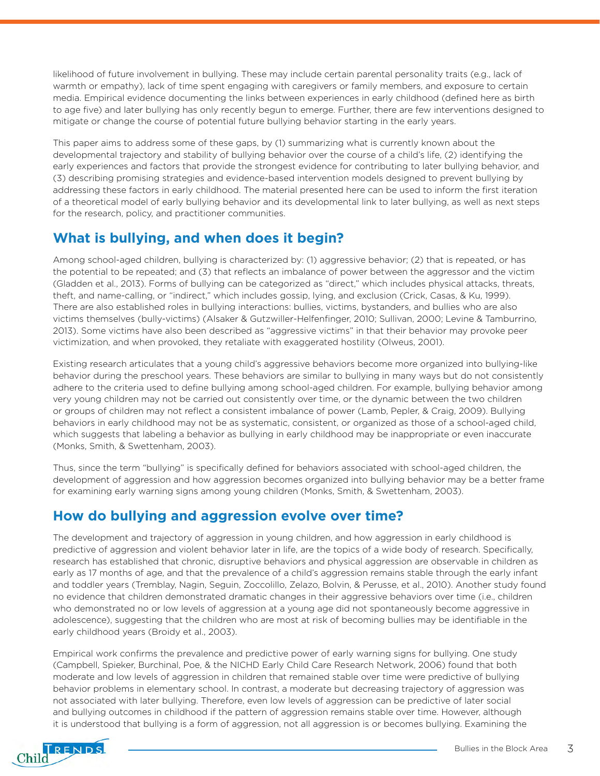likelihood of future involvement in bullying. These may include certain parental personality traits (e.g., lack of warmth or empathy), lack of time spent engaging with caregivers or family members, and exposure to certain media. Empirical evidence documenting the links between experiences in early childhood (defined here as birth to age five) and later bullying has only recently begun to emerge. Further, there are few interventions designed to mitigate or change the course of potential future bullying behavior starting in the early years.

This paper aims to address some of these gaps, by (1) summarizing what is currently known about the developmental trajectory and stability of bullying behavior over the course of a child's life, (2) identifying the early experiences and factors that provide the strongest evidence for contributing to later bullying behavior, and (3) describing promising strategies and evidence-based intervention models designed to prevent bullying by addressing these factors in early childhood. The material presented here can be used to inform the first iteration of a theoretical model of early bullying behavior and its developmental link to later bullying, as well as next steps for the research, policy, and practitioner communities.

### **What is bullying, and when does it begin?**

Among school-aged children, bullying is characterized by: (1) aggressive behavior; (2) that is repeated, or has the potential to be repeated; and (3) that reflects an imbalance of power between the aggressor and the victim (Gladden et al., 2013). Forms of bullying can be categorized as "direct," which includes physical attacks, threats, theft, and name-calling, or "indirect," which includes gossip, lying, and exclusion (Crick, Casas, & Ku, 1999). There are also established roles in bullying interactions: bullies, victims, bystanders, and bullies who are also victims themselves (bully-victims) (Alsaker & Gutzwiller-Helfenfinger, 2010; Sullivan, 2000; Levine & Tamburrino, 2013). Some victims have also been described as "aggressive victims" in that their behavior may provoke peer victimization, and when provoked, they retaliate with exaggerated hostility (Olweus, 2001).

Existing research articulates that a young child's aggressive behaviors become more organized into bullying-like behavior during the preschool years. These behaviors are similar to bullying in many ways but do not consistently adhere to the criteria used to define bullying among school-aged children. For example, bullying behavior among very young children may not be carried out consistently over time, or the dynamic between the two children or groups of children may not reflect a consistent imbalance of power (Lamb, Pepler, & Craig, 2009). Bullying behaviors in early childhood may not be as systematic, consistent, or organized as those of a school-aged child, which suggests that labeling a behavior as bullying in early childhood may be inappropriate or even inaccurate (Monks, Smith, & Swettenham, 2003).

Thus, since the term "bullying" is specifically defined for behaviors associated with school-aged children, the development of aggression and how aggression becomes organized into bullying behavior may be a better frame for examining early warning signs among young children (Monks, Smith, & Swettenham, 2003).

### **How do bullying and aggression evolve over time?**

The development and trajectory of aggression in young children, and how aggression in early childhood is predictive of aggression and violent behavior later in life, are the topics of a wide body of research. Specifically, research has established that chronic, disruptive behaviors and physical aggression are observable in children as early as 17 months of age, and that the prevalence of a child's aggression remains stable through the early infant and toddler years (Tremblay, Nagin, Seguin, Zoccolillo, Zelazo, Bolvin, & Perusse, et al., 2010). Another study found no evidence that children demonstrated dramatic changes in their aggressive behaviors over time (i.e., children who demonstrated no or low levels of aggression at a young age did not spontaneously become aggressive in adolescence), suggesting that the children who are most at risk of becoming bullies may be identifiable in the early childhood years (Broidy et al., 2003).

Empirical work confirms the prevalence and predictive power of early warning signs for bullying. One study (Campbell, Spieker, Burchinal, Poe, & the NICHD Early Child Care Research Network, 2006) found that both moderate and low levels of aggression in children that remained stable over time were predictive of bullying behavior problems in elementary school. In contrast, a moderate but decreasing trajectory of aggression was not associated with later bullying. Therefore, even low levels of aggression can be predictive of later social and bullying outcomes in childhood if the pattern of aggression remains stable over time. However, although it is understood that bullying is a form of aggression, not all aggression is or becomes bullying. Examining the

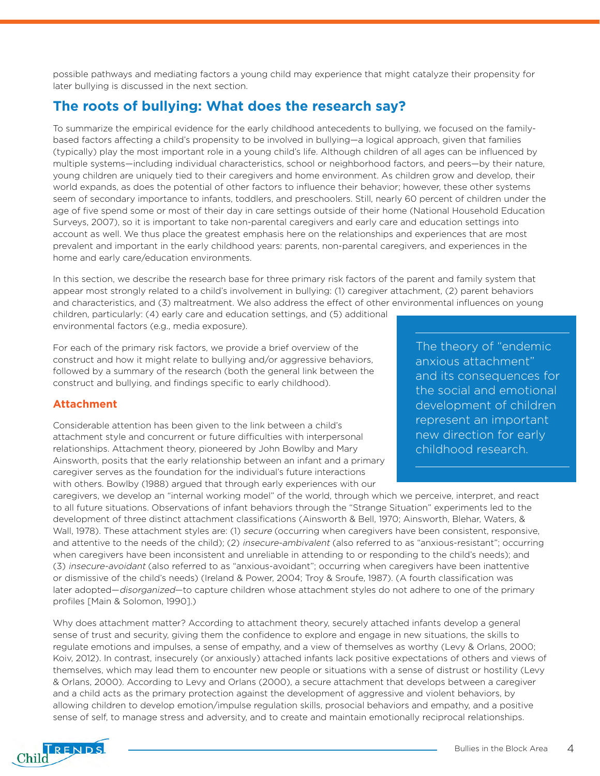possible pathways and mediating factors a young child may experience that might catalyze their propensity for later bullying is discussed in the next section.

### **The roots of bullying: What does the research say?**

To summarize the empirical evidence for the early childhood antecedents to bullying, we focused on the familybased factors affecting a child's propensity to be involved in bullying—a logical approach, given that families (typically) play the most important role in a young child's life. Although children of all ages can be influenced by multiple systems—including individual characteristics, school or neighborhood factors, and peers—by their nature, young children are uniquely tied to their caregivers and home environment. As children grow and develop, their world expands, as does the potential of other factors to influence their behavior; however, these other systems seem of secondary importance to infants, toddlers, and preschoolers. Still, nearly 60 percent of children under the age of five spend some or most of their day in care settings outside of their home (National Household Education Surveys, 2007), so it is important to take non-parental caregivers and early care and education settings into account as well. We thus place the greatest emphasis here on the relationships and experiences that are most prevalent and important in the early childhood years: parents, non-parental caregivers, and experiences in the home and early care/education environments.

In this section, we describe the research base for three primary risk factors of the parent and family system that appear most strongly related to a child's involvement in bullying: (1) caregiver attachment, (2) parent behaviors and characteristics, and (3) maltreatment. We also address the effect of other environmental influences on young

children, particularly: (4) early care and education settings, and (5) additional environmental factors (e.g., media exposure).

For each of the primary risk factors, we provide a brief overview of the construct and how it might relate to bullying and/or aggressive behaviors, followed by a summary of the research (both the general link between the construct and bullying, and findings specific to early childhood).

#### **Attachment**

Considerable attention has been given to the link between a child's attachment style and concurrent or future difficulties with interpersonal relationships. Attachment theory, pioneered by John Bowlby and Mary Ainsworth, posits that the early relationship between an infant and a primary caregiver serves as the foundation for the individual's future interactions with others. Bowlby (1988) argued that through early experiences with our

The theory of "endemic anxious attachment" and its consequences for the social and emotional development of children represent an important new direction for early childhood research.

caregivers, we develop an "internal working model" of the world, through which we perceive, interpret, and react to all future situations. Observations of infant behaviors through the "Strange Situation" experiments led to the development of three distinct attachment classifications (Ainsworth & Bell, 1970; Ainsworth, Blehar, Waters, & Wall, 1978). These attachment styles are: (1) secure (occurring when caregivers have been consistent, responsive, and attentive to the needs of the child); (2) insecure-ambivalent (also referred to as "anxious-resistant"; occurring when caregivers have been inconsistent and unreliable in attending to or responding to the child's needs); and (3) insecure-avoidant (also referred to as "anxious-avoidant"; occurring when caregivers have been inattentive or dismissive of the child's needs) (Ireland & Power, 2004; Troy & Sroufe, 1987). (A fourth classification was later adopted—disorganized—to capture children whose attachment styles do not adhere to one of the primary profiles [Main & Solomon, 1990].)

Why does attachment matter? According to attachment theory, securely attached infants develop a general sense of trust and security, giving them the confidence to explore and engage in new situations, the skills to regulate emotions and impulses, a sense of empathy, and a view of themselves as worthy (Levy & Orlans, 2000; Koiv, 2012). In contrast, insecurely (or anxiously) attached infants lack positive expectations of others and views of themselves, which may lead them to encounter new people or situations with a sense of distrust or hostility (Levy & Orlans, 2000). According to Levy and Orlans (2000), a secure attachment that develops between a caregiver and a child acts as the primary protection against the development of aggressive and violent behaviors, by allowing children to develop emotion/impulse regulation skills, prosocial behaviors and empathy, and a positive sense of self, to manage stress and adversity, and to create and maintain emotionally reciprocal relationships.

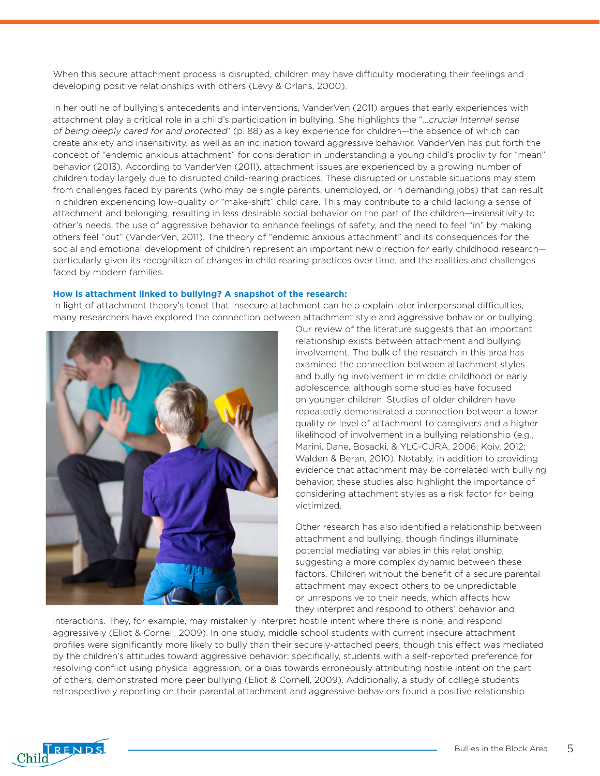When this secure attachment process is disrupted, children may have difficulty moderating their feelings and developing positive relationships with others (Levy & Orlans, 2000).

In her outline of bullying's antecedents and interventions, VanderVen (2011) argues that early experiences with attachment play a critical role in a child's participation in bullying. She highlights the "…crucial internal sense of being deeply cared for and protected" (p. 88) as a key experience for children—the absence of which can create anxiety and insensitivity, as well as an inclination toward aggressive behavior. VanderVen has put forth the concept of "endemic anxious attachment" for consideration in understanding a young child's proclivity for "mean" behavior (2013). According to VanderVen (2011), attachment issues are experienced by a growing number of children today largely due to disrupted child-rearing practices. These disrupted or unstable situations may stem from challenges faced by parents (who may be single parents, unemployed, or in demanding jobs) that can result in children experiencing low-quality or "make-shift" child care. This may contribute to a child lacking a sense of attachment and belonging, resulting in less desirable social behavior on the part of the children—insensitivity to other's needs, the use of aggressive behavior to enhance feelings of safety, and the need to feel "in" by making others feel "out" (VanderVen, 2011). The theory of "endemic anxious attachment" and its consequences for the social and emotional development of children represent an important new direction for early childhood research particularly given its recognition of changes in child rearing practices over time, and the realities and challenges faced by modern families.

#### **How is attachment linked to bullying? A snapshot of the research:**

In light of attachment theory's tenet that insecure attachment can help explain later interpersonal difficulties, many researchers have explored the connection between attachment style and aggressive behavior or bullying.



Our review of the literature suggests that an important relationship exists between attachment and bullying involvement. The bulk of the research in this area has examined the connection between attachment styles and bullying involvement in middle childhood or early adolescence, although some studies have focused on younger children. Studies of older children have repeatedly demonstrated a connection between a lower quality or level of attachment to caregivers and a higher likelihood of involvement in a bullying relationship (e.g., Marini, Dane, Bosacki, & YLC-CURA, 2006; Koiv, 2012; Walden & Beran, 2010). Notably, in addition to providing evidence that attachment may be correlated with bullying behavior, these studies also highlight the importance of considering attachment styles as a risk factor for being victimized.

Other research has also identified a relationship between attachment and bullying, though findings illuminate potential mediating variables in this relationship, suggesting a more complex dynamic between these factors. Children without the benefit of a secure parental attachment may expect others to be unpredictable or unresponsive to their needs, which affects how they interpret and respond to others' behavior and

interactions. They, for example, may mistakenly interpret hostile intent where there is none, and respond aggressively (Eliot & Cornell, 2009). In one study, middle school students with current insecure attachment profiles were significantly more likely to bully than their securely-attached peers, though this effect was mediated by the children's attitudes toward aggressive behavior; specifically, students with a self-reported preference for resolving conflict using physical aggression, or a bias towards erroneously attributing hostile intent on the part of others, demonstrated more peer bullying (Eliot & Cornell, 2009). Additionally, a study of college students retrospectively reporting on their parental attachment and aggressive behaviors found a positive relationship

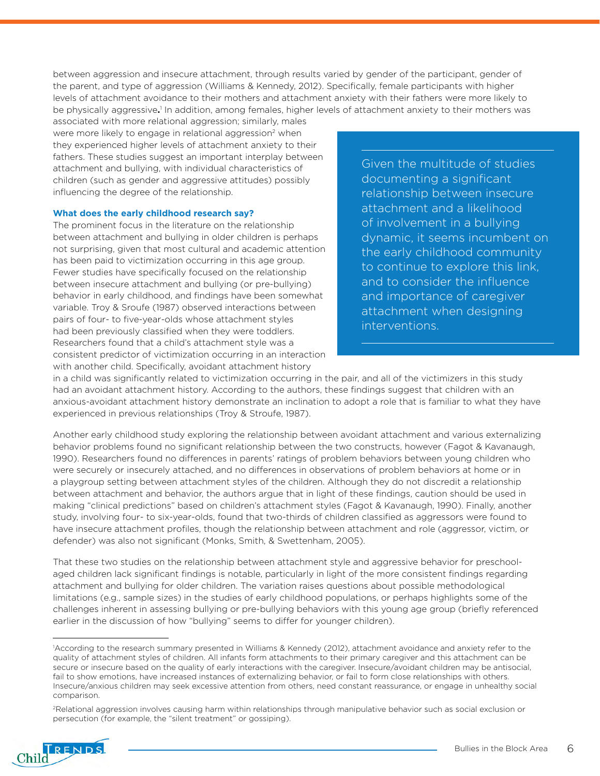between aggression and insecure attachment, through results varied by gender of the participant, gender of the parent, and type of aggression (Williams & Kennedy, 2012). Specifically, female participants with higher levels of attachment avoidance to their mothers and attachment anxiety with their fathers were more likely to be physically aggressive.<sup>1</sup> In addition, among females, higher levels of attachment anxiety to their mothers was

associated with more relational aggression; similarly, males were more likely to engage in relational aggression<sup>2</sup> when they experienced higher levels of attachment anxiety to their fathers. These studies suggest an important interplay between attachment and bullying, with individual characteristics of children (such as gender and aggressive attitudes) possibly influencing the degree of the relationship.

#### **What does the early childhood research say?**

The prominent focus in the literature on the relationship between attachment and bullying in older children is perhaps not surprising, given that most cultural and academic attention has been paid to victimization occurring in this age group. Fewer studies have specifically focused on the relationship between insecure attachment and bullying (or pre-bullying) behavior in early childhood, and findings have been somewhat variable. Troy & Sroufe (1987) observed interactions between pairs of four- to five-year-olds whose attachment styles had been previously classified when they were toddlers. Researchers found that a child's attachment style was a consistent predictor of victimization occurring in an interaction with another child. Specifically, avoidant attachment history

Given the multitude of studies documenting a significant relationship between insecure attachment and a likelihood of involvement in a bullying dynamic, it seems incumbent on the early childhood community to continue to explore this link, and to consider the influence and importance of caregiver attachment when designing interventions.

in a child was significantly related to victimization occurring in the pair, and all of the victimizers in this study had an avoidant attachment history. According to the authors, these findings suggest that children with an anxious-avoidant attachment history demonstrate an inclination to adopt a role that is familiar to what they have experienced in previous relationships (Troy & Stroufe, 1987).

Another early childhood study exploring the relationship between avoidant attachment and various externalizing behavior problems found no significant relationship between the two constructs, however (Fagot & Kavanaugh, 1990). Researchers found no differences in parents' ratings of problem behaviors between young children who were securely or insecurely attached, and no differences in observations of problem behaviors at home or in a playgroup setting between attachment styles of the children. Although they do not discredit a relationship between attachment and behavior, the authors argue that in light of these findings, caution should be used in making "clinical predictions" based on children's attachment styles (Fagot & Kavanaugh, 1990). Finally, another study, involving four- to six-year-olds, found that two-thirds of children classified as aggressors were found to have insecure attachment profiles, though the relationship between attachment and role (aggressor, victim, or defender) was also not significant (Monks, Smith, & Swettenham, 2005).

That these two studies on the relationship between attachment style and aggressive behavior for preschoolaged children lack significant findings is notable, particularly in light of the more consistent findings regarding attachment and bullying for older children. The variation raises questions about possible methodological limitations (e.g., sample sizes) in the studies of early childhood populations, or perhaps highlights some of the challenges inherent in assessing bullying or pre-bullying behaviors with this young age group (briefly referenced earlier in the discussion of how "bullying" seems to differ for younger children).

<sup>2</sup>Relational aggression involves causing harm within relationships through manipulative behavior such as social exclusion or persecution (for example, the "silent treatment" or gossiping).



<sup>1</sup> According to the research summary presented in Williams & Kennedy (2012), attachment avoidance and anxiety refer to the quality of attachment styles of children. All infants form attachments to their primary caregiver and this attachment can be secure or insecure based on the quality of early interactions with the caregiver. Insecure/avoidant children may be antisocial, fail to show emotions, have increased instances of externalizing behavior, or fail to form close relationships with others. Insecure/anxious children may seek excessive attention from others, need constant reassurance, or engage in unhealthy social comparison.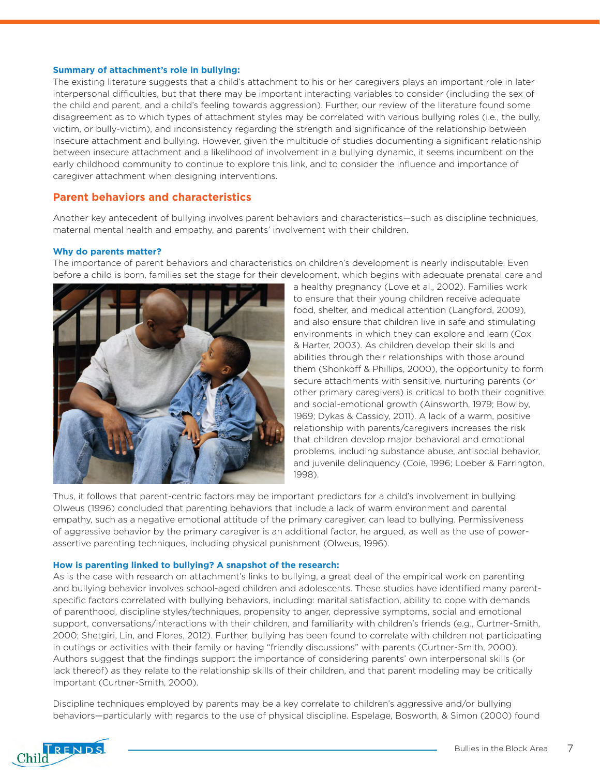#### **Summary of attachment's role in bullying:**

The existing literature suggests that a child's attachment to his or her caregivers plays an important role in later interpersonal difficulties, but that there may be important interacting variables to consider (including the sex of the child and parent, and a child's feeling towards aggression). Further, our review of the literature found some disagreement as to which types of attachment styles may be correlated with various bullying roles (i.e., the bully, victim, or bully-victim), and inconsistency regarding the strength and significance of the relationship between insecure attachment and bullying. However, given the multitude of studies documenting a significant relationship between insecure attachment and a likelihood of involvement in a bullying dynamic, it seems incumbent on the early childhood community to continue to explore this link, and to consider the influence and importance of caregiver attachment when designing interventions.

#### **Parent behaviors and characteristics**

Another key antecedent of bullying involves parent behaviors and characteristics—such as discipline techniques, maternal mental health and empathy, and parents' involvement with their children.

#### **Why do parents matter?**

The importance of parent behaviors and characteristics on children's development is nearly indisputable. Even before a child is born, families set the stage for their development, which begins with adequate prenatal care and



a healthy pregnancy (Love et al., 2002). Families work to ensure that their young children receive adequate food, shelter, and medical attention (Langford, 2009), and also ensure that children live in safe and stimulating environments in which they can explore and learn (Cox & Harter, 2003). As children develop their skills and abilities through their relationships with those around them (Shonkoff & Phillips, 2000), the opportunity to form secure attachments with sensitive, nurturing parents (or other primary caregivers) is critical to both their cognitive and social-emotional growth (Ainsworth, 1979; Bowlby, 1969; Dykas & Cassidy, 2011). A lack of a warm, positive relationship with parents/caregivers increases the risk that children develop major behavioral and emotional problems, including substance abuse, antisocial behavior, and juvenile delinquency (Coie, 1996; Loeber & Farrington, 1998).

Thus, it follows that parent-centric factors may be important predictors for a child's involvement in bullying. Olweus (1996) concluded that parenting behaviors that include a lack of warm environment and parental empathy, such as a negative emotional attitude of the primary caregiver, can lead to bullying. Permissiveness of aggressive behavior by the primary caregiver is an additional factor, he argued, as well as the use of powerassertive parenting techniques, including physical punishment (Olweus, 1996).

#### **How is parenting linked to bullying? A snapshot of the research:**

As is the case with research on attachment's links to bullying, a great deal of the empirical work on parenting and bullying behavior involves school-aged children and adolescents. These studies have identified many parentspecific factors correlated with bullying behaviors, including: marital satisfaction, ability to cope with demands of parenthood, discipline styles/techniques, propensity to anger, depressive symptoms, social and emotional support, conversations/interactions with their children, and familiarity with children's friends (e.g., Curtner-Smith, 2000; Shetgiri, Lin, and Flores, 2012). Further, bullying has been found to correlate with children not participating in outings or activities with their family or having "friendly discussions" with parents (Curtner-Smith, 2000). Authors suggest that the findings support the importance of considering parents' own interpersonal skills (or lack thereof) as they relate to the relationship skills of their children, and that parent modeling may be critically important (Curtner-Smith, 2000).

Discipline techniques employed by parents may be a key correlate to children's aggressive and/or bullying behaviors—particularly with regards to the use of physical discipline. Espelage, Bosworth, & Simon (2000) found

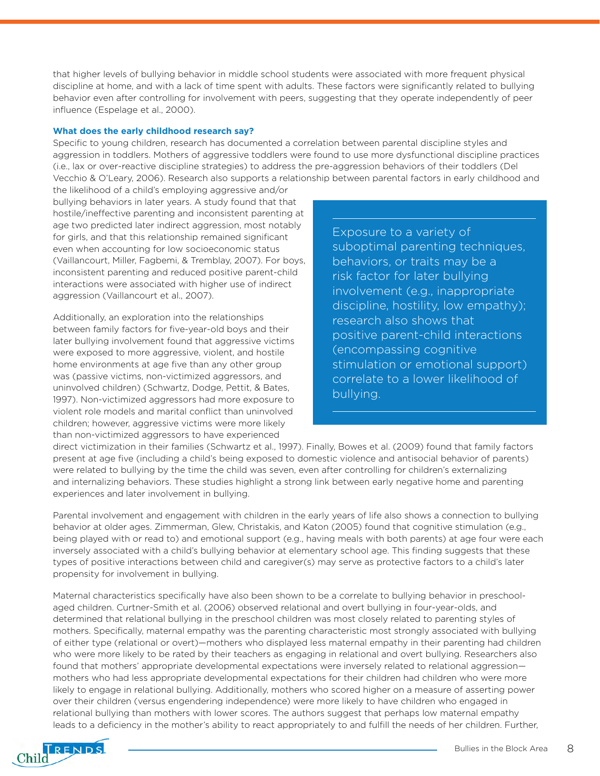that higher levels of bullying behavior in middle school students were associated with more frequent physical discipline at home, and with a lack of time spent with adults. These factors were significantly related to bullying behavior even after controlling for involvement with peers, suggesting that they operate independently of peer influence (Espelage et al., 2000).

#### **What does the early childhood research say?**

Specific to young children, research has documented a correlation between parental discipline styles and aggression in toddlers. Mothers of aggressive toddlers were found to use more dysfunctional discipline practices (i.e., lax or over-reactive discipline strategies) to address the pre-aggression behaviors of their toddlers (Del Vecchio & O'Leary, 2006). Research also supports a relationship between parental factors in early childhood and

the likelihood of a child's employing aggressive and/or bullying behaviors in later years. A study found that that hostile/ineffective parenting and inconsistent parenting at age two predicted later indirect aggression, most notably for girls, and that this relationship remained significant even when accounting for low socioeconomic status (Vaillancourt, Miller, Fagbemi, & Tremblay, 2007). For boys, inconsistent parenting and reduced positive parent-child interactions were associated with higher use of indirect aggression (Vaillancourt et al., 2007).

Additionally, an exploration into the relationships between family factors for five-year-old boys and their later bullying involvement found that aggressive victims were exposed to more aggressive, violent, and hostile home environments at age five than any other group was (passive victims, non-victimized aggressors, and uninvolved children) (Schwartz, Dodge, Pettit, & Bates, 1997). Non-victimized aggressors had more exposure to violent role models and marital conflict than uninvolved children; however, aggressive victims were more likely than non-victimized aggressors to have experienced

Exposure to a variety of suboptimal parenting techniques, behaviors, or traits may be a risk factor for later bullying involvement (e.g., inappropriate discipline, hostility, low empathy); research also shows that positive parent-child interactions (encompassing cognitive stimulation or emotional support) correlate to a lower likelihood of bullying.

direct victimization in their families (Schwartz et al., 1997). Finally, Bowes et al. (2009) found that family factors present at age five (including a child's being exposed to domestic violence and antisocial behavior of parents) were related to bullying by the time the child was seven, even after controlling for children's externalizing and internalizing behaviors. These studies highlight a strong link between early negative home and parenting experiences and later involvement in bullying.

Parental involvement and engagement with children in the early years of life also shows a connection to bullying behavior at older ages. Zimmerman, Glew, Christakis, and Katon (2005) found that cognitive stimulation (e.g., being played with or read to) and emotional support (e.g., having meals with both parents) at age four were each inversely associated with a child's bullying behavior at elementary school age. This finding suggests that these types of positive interactions between child and caregiver(s) may serve as protective factors to a child's later propensity for involvement in bullying.

Maternal characteristics specifically have also been shown to be a correlate to bullying behavior in preschoolaged children. Curtner-Smith et al. (2006) observed relational and overt bullying in four-year-olds, and determined that relational bullying in the preschool children was most closely related to parenting styles of mothers. Specifically, maternal empathy was the parenting characteristic most strongly associated with bullying of either type (relational or overt)—mothers who displayed less maternal empathy in their parenting had children who were more likely to be rated by their teachers as engaging in relational and overt bullying. Researchers also found that mothers' appropriate developmental expectations were inversely related to relational aggression mothers who had less appropriate developmental expectations for their children had children who were more likely to engage in relational bullying. Additionally, mothers who scored higher on a measure of asserting power over their children (versus engendering independence) were more likely to have children who engaged in relational bullying than mothers with lower scores. The authors suggest that perhaps low maternal empathy leads to a deficiency in the mother's ability to react appropriately to and fulfill the needs of her children. Further,

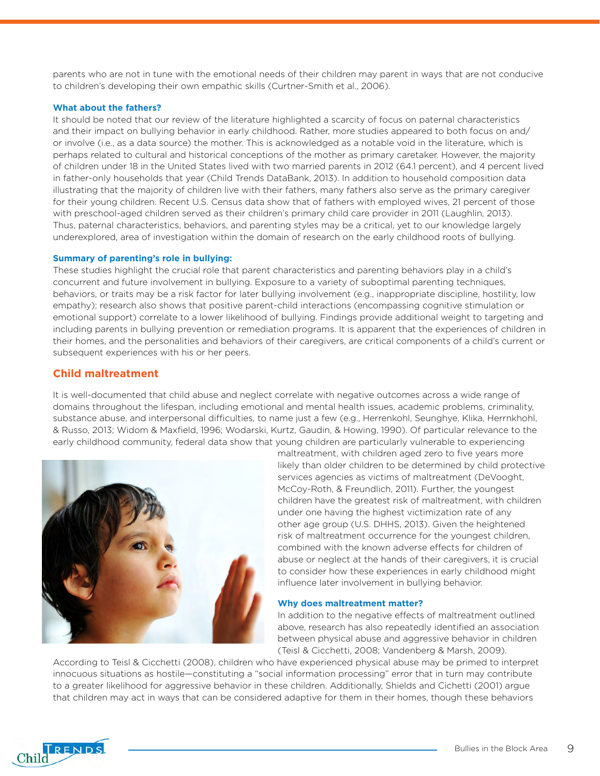parents who are not in tune with the emotional needs of their children may parent in ways that are not conducive to children's developing their own empathic skills (Curtner-Smith et al., 2006).

#### **What about the fathers?**

It should be noted that our review of the literature highlighted a scarcity of focus on paternal characteristics and their impact on bullying behavior in early childhood. Rather, more studies appeared to both focus on and/ or involve (i.e., as a data source) the mother. This is acknowledged as a notable void in the literature, which is perhaps related to cultural and historical conceptions of the mother as primary caretaker. However, the majority of children under 18 in the United States lived with two married parents in 2012 (64.1 percent), and 4 percent lived in father-only households that year (Child Trends DataBank, 2013). In addition to household composition data illustrating that the majority of children live with their fathers, many fathers also serve as the primary caregiver for their young children. Recent U.S. Census data show that of fathers with employed wives, 21 percent of those with preschool-aged children served as their children's primary child care provider in 2011 (Laughlin, 2013). Thus, paternal characteristics, behaviors, and parenting styles may be a critical, yet to our knowledge largely underexplored, area of investigation within the domain of research on the early childhood roots of bullying.

#### **Summary of parenting's role in bullying:**

These studies highlight the crucial role that parent characteristics and parenting behaviors play in a child's concurrent and future involvement in bullying. Exposure to a variety of suboptimal parenting techniques, behaviors, or traits may be a risk factor for later bullying involvement (e.g., inappropriate discipline, hostility, low empathy); research also shows that positive parent-child interactions (encompassing cognitive stimulation or emotional support) correlate to a lower likelihood of bullying. Findings provide additional weight to targeting and including parents in bullying prevention or remediation programs. It is apparent that the experiences of children in their homes, and the personalities and behaviors of their caregivers, are critical components of a child's current or subsequent experiences with his or her peers.

#### **Child maltreatment**

It is well-documented that child abuse and neglect correlate with negative outcomes across a wide range of domains throughout the lifespan, including emotional and mental health issues, academic problems, criminality, substance abuse, and interpersonal difficulties, to name just a few (e.g., Herrenkohl, Seunghye, Klika, Herrnkhohl, & Russo, 2013; Widom & Maxfield, 1996; Wodarski, Kurtz, Gaudin, & Howing, 1990). Of particular relevance to the early childhood community, federal data show that young children are particularly vulnerable to experiencing



maltreatment, with children aged zero to five years more likely than older children to be determined by child protective services agencies as victims of maltreatment (DeVooght, McCoy-Roth, & Freundlich, 2011). Further, the youngest children have the greatest risk of maltreatment, with children under one having the highest victimization rate of any other age group (U.S. DHHS, 2013). Given the heightened risk of maltreatment occurrence for the youngest children, combined with the known adverse effects for children of abuse or neglect at the hands of their caregivers, it is crucial to consider how these experiences in early childhood might influence later involvement in bullying behavior.

#### **Why does maltreatment matter?**

In addition to the negative effects of maltreatment outlined above, research has also repeatedly identified an association between physical abuse and aggressive behavior in children (Teisl & Cicchetti, 2008; Vandenberg & Marsh, 2009).

According to Teisl & Cicchetti (2008), children who have experienced physical abuse may be primed to interpret innocuous situations as hostile—constituting a "social information processing" error that in turn may contribute to a greater likelihood for aggressive behavior in these children. Additionally, Shields and Cichetti (2001) argue that children may act in ways that can be considered adaptive for them in their homes, though these behaviors

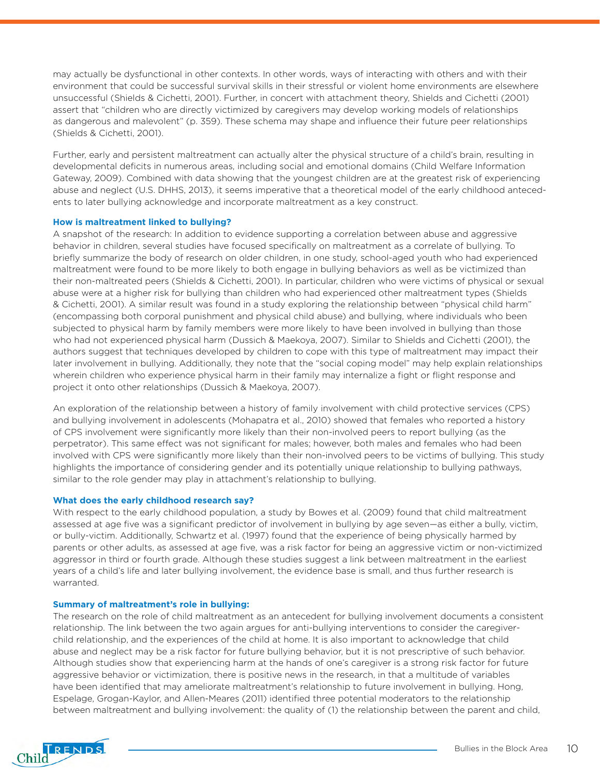may actually be dysfunctional in other contexts. In other words, ways of interacting with others and with their environment that could be successful survival skills in their stressful or violent home environments are elsewhere unsuccessful (Shields & Cichetti, 2001). Further, in concert with attachment theory, Shields and Cichetti (2001) assert that "children who are directly victimized by caregivers may develop working models of relationships as dangerous and malevolent" (p. 359). These schema may shape and influence their future peer relationships (Shields & Cichetti, 2001).

Further, early and persistent maltreatment can actually alter the physical structure of a child's brain, resulting in developmental deficits in numerous areas, including social and emotional domains (Child Welfare Information Gateway, 2009). Combined with data showing that the youngest children are at the greatest risk of experiencing abuse and neglect (U.S. DHHS, 2013), it seems imperative that a theoretical model of the early childhood antecedents to later bullying acknowledge and incorporate maltreatment as a key construct.

#### **How is maltreatment linked to bullying?**

A snapshot of the research: In addition to evidence supporting a correlation between abuse and aggressive behavior in children, several studies have focused specifically on maltreatment as a correlate of bullying. To briefly summarize the body of research on older children, in one study, school-aged youth who had experienced maltreatment were found to be more likely to both engage in bullying behaviors as well as be victimized than their non-maltreated peers (Shields & Cichetti, 2001). In particular, children who were victims of physical or sexual abuse were at a higher risk for bullying than children who had experienced other maltreatment types (Shields & Cichetti, 2001). A similar result was found in a study exploring the relationship between "physical child harm" (encompassing both corporal punishment and physical child abuse) and bullying, where individuals who been subjected to physical harm by family members were more likely to have been involved in bullying than those who had not experienced physical harm (Dussich & Maekoya, 2007). Similar to Shields and Cichetti (2001), the authors suggest that techniques developed by children to cope with this type of maltreatment may impact their later involvement in bullying. Additionally, they note that the "social coping model" may help explain relationships wherein children who experience physical harm in their family may internalize a fight or flight response and project it onto other relationships (Dussich & Maekoya, 2007).

An exploration of the relationship between a history of family involvement with child protective services (CPS) and bullying involvement in adolescents (Mohapatra et al., 2010) showed that females who reported a history of CPS involvement were significantly more likely than their non-involved peers to report bullying (as the perpetrator). This same effect was not significant for males; however, both males and females who had been involved with CPS were significantly more likely than their non-involved peers to be victims of bullying. This study highlights the importance of considering gender and its potentially unique relationship to bullying pathways, similar to the role gender may play in attachment's relationship to bullying.

#### **What does the early childhood research say?**

With respect to the early childhood population, a study by Bowes et al. (2009) found that child maltreatment assessed at age five was a significant predictor of involvement in bullying by age seven—as either a bully, victim, or bully-victim. Additionally, Schwartz et al. (1997) found that the experience of being physically harmed by parents or other adults, as assessed at age five, was a risk factor for being an aggressive victim or non-victimized aggressor in third or fourth grade. Although these studies suggest a link between maltreatment in the earliest years of a child's life and later bullying involvement, the evidence base is small, and thus further research is warranted.

#### **Summary of maltreatment's role in bullying:**

The research on the role of child maltreatment as an antecedent for bullying involvement documents a consistent relationship. The link between the two again argues for anti-bullying interventions to consider the caregiverchild relationship, and the experiences of the child at home. It is also important to acknowledge that child abuse and neglect may be a risk factor for future bullying behavior, but it is not prescriptive of such behavior. Although studies show that experiencing harm at the hands of one's caregiver is a strong risk factor for future aggressive behavior or victimization, there is positive news in the research, in that a multitude of variables have been identified that may ameliorate maltreatment's relationship to future involvement in bullying. Hong, Espelage, Grogan-Kaylor, and Allen-Meares (2011) identified three potential moderators to the relationship between maltreatment and bullying involvement: the quality of (1) the relationship between the parent and child,

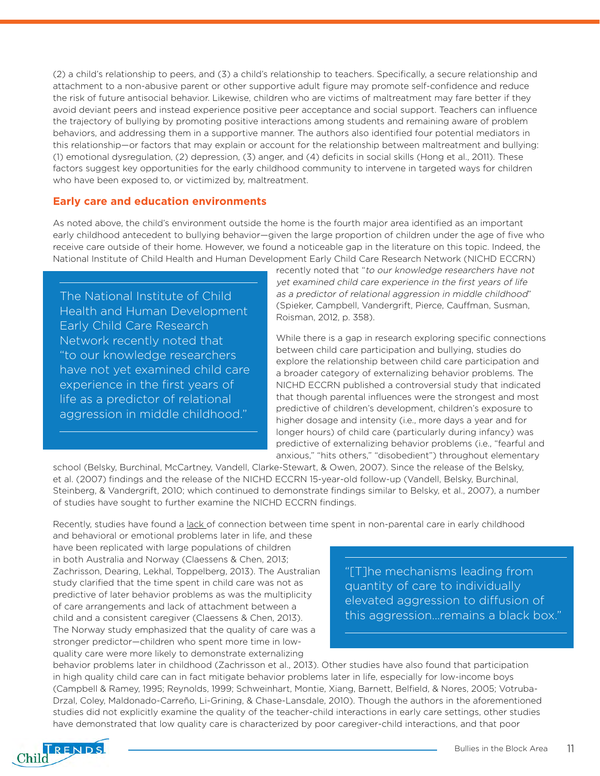(2) a child's relationship to peers, and (3) a child's relationship to teachers. Specifically, a secure relationship and attachment to a non-abusive parent or other supportive adult figure may promote self-confidence and reduce the risk of future antisocial behavior. Likewise, children who are victims of maltreatment may fare better if they avoid deviant peers and instead experience positive peer acceptance and social support. Teachers can influence the trajectory of bullying by promoting positive interactions among students and remaining aware of problem behaviors, and addressing them in a supportive manner. The authors also identified four potential mediators in this relationship—or factors that may explain or account for the relationship between maltreatment and bullying: (1) emotional dysregulation, (2) depression, (3) anger, and (4) deficits in social skills (Hong et al., 2011). These factors suggest key opportunities for the early childhood community to intervene in targeted ways for children who have been exposed to, or victimized by, maltreatment.

#### **Early care and education environments**

As noted above, the child's environment outside the home is the fourth major area identified as an important early childhood antecedent to bullying behavior—given the large proportion of children under the age of five who receive care outside of their home. However, we found a noticeable gap in the literature on this topic. Indeed, the National Institute of Child Health and Human Development Early Child Care Research Network (NICHD ECCRN)

The National Institute of Child Health and Human Development Early Child Care Research Network recently noted that "to our knowledge researchers have not yet examined child care experience in the first years of life as a predictor of relational aggression in middle childhood."

recently noted that "to our knowledge researchers have not yet examined child care experience in the first years of life as a predictor of relational aggression in middle childhood" (Spieker, Campbell, Vandergrift, Pierce, Cauffman, Susman, Roisman, 2012, p. 358).

While there is a gap in research exploring specific connections between child care participation and bullying, studies do explore the relationship between child care participation and a broader category of externalizing behavior problems. The NICHD ECCRN published a controversial study that indicated that though parental influences were the strongest and most predictive of children's development, children's exposure to higher dosage and intensity (i.e., more days a year and for longer hours) of child care (particularly during infancy) was predictive of externalizing behavior problems (i.e., "fearful and anxious," "hits others," "disobedient") throughout elementary

school (Belsky, Burchinal, McCartney, Vandell, Clarke-Stewart, & Owen, 2007). Since the release of the Belsky, et al. (2007) findings and the release of the NICHD ECCRN 15-year-old follow-up (Vandell, Belsky, Burchinal, Steinberg, & Vandergrift, 2010; which continued to demonstrate findings similar to Belsky, et al., 2007), a number of studies have sought to further examine the NICHD ECCRN findings.

Recently, studies have found a <u>lack</u> of connection between time spent in non-parental care in early childhood

and behavioral or emotional problems later in life, and these have been replicated with large populations of children in both Australia and Norway (Claessens & Chen, 2013; Zachrisson, Dearing, Lekhal, Toppelberg, 2013). The Australian study clarified that the time spent in child care was not as predictive of later behavior problems as was the multiplicity of care arrangements and lack of attachment between a child and a consistent caregiver (Claessens & Chen, 2013). The Norway study emphasized that the quality of care was a stronger predictor—children who spent more time in lowquality care were more likely to demonstrate externalizing

"[T]he mechanisms leading from quantity of care to individually elevated aggression to diffusion of this aggression…remains a black box."

behavior problems later in childhood (Zachrisson et al., 2013). Other studies have also found that participation in high quality child care can in fact mitigate behavior problems later in life, especially for low-income boys (Campbell & Ramey, 1995; Reynolds, 1999; Schweinhart, Montie, Xiang, Barnett, Belfield, & Nores, 2005; Votruba-Drzal, Coley, Maldonado-Carreño, Li-Grining, & Chase-Lansdale, 2010). Though the authors in the aforementioned studies did not explicitly examine the quality of the teacher-child interactions in early care settings, other studies have demonstrated that low quality care is characterized by poor caregiver-child interactions, and that poor

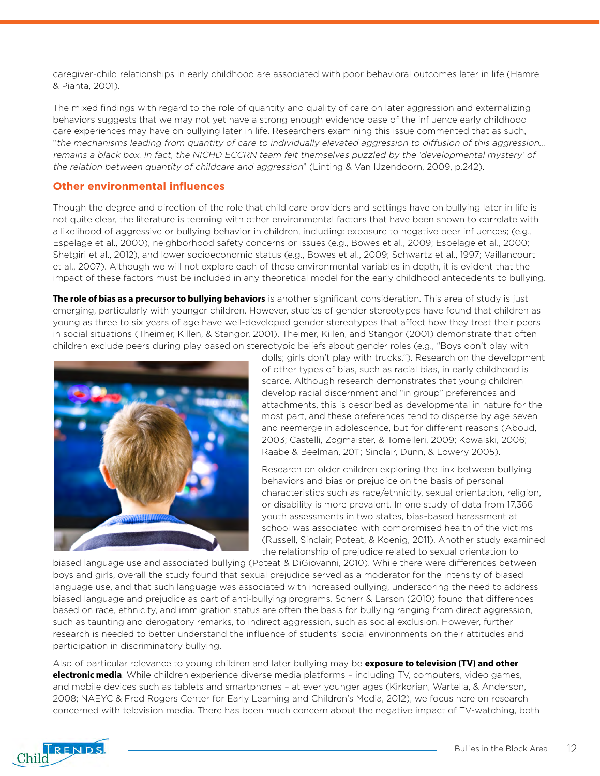caregiver-child relationships in early childhood are associated with poor behavioral outcomes later in life (Hamre & Pianta, 2001).

The mixed findings with regard to the role of quantity and quality of care on later aggression and externalizing behaviors suggests that we may not yet have a strong enough evidence base of the influence early childhood care experiences may have on bullying later in life. Researchers examining this issue commented that as such, "the mechanisms leading from quantity of care to individually elevated aggression to diffusion of this aggression… remains a black box. In fact, the NICHD ECCRN team felt themselves puzzled by the 'developmental mystery' of the relation between quantity of childcare and aggression" (Linting & Van IJzendoorn, 2009, p.242).

#### **Other environmental influences**

Though the degree and direction of the role that child care providers and settings have on bullying later in life is not quite clear, the literature is teeming with other environmental factors that have been shown to correlate with a likelihood of aggressive or bullying behavior in children, including: exposure to negative peer influences; (e.g., Espelage et al., 2000), neighborhood safety concerns or issues (e.g., Bowes et al., 2009; Espelage et al., 2000; Shetgiri et al., 2012), and lower socioeconomic status (e.g., Bowes et al., 2009; Schwartz et al., 1997; Vaillancourt et al., 2007). Although we will not explore each of these environmental variables in depth, it is evident that the impact of these factors must be included in any theoretical model for the early childhood antecedents to bullying.

**The role of bias as a precursor to bullying behaviors** is another significant consideration. This area of study is just emerging, particularly with younger children. However, studies of gender stereotypes have found that children as young as three to six years of age have well-developed gender stereotypes that affect how they treat their peers in social situations (Theimer, Killen, & Stangor, 2001). Theimer, Killen, and Stangor (2001) demonstrate that often children exclude peers during play based on stereotypic beliefs about gender roles (e.g., "Boys don't play with



dolls; girls don't play with trucks."). Research on the development of other types of bias, such as racial bias, in early childhood is scarce. Although research demonstrates that young children develop racial discernment and "in group" preferences and attachments, this is described as developmental in nature for the most part, and these preferences tend to disperse by age seven and reemerge in adolescence, but for different reasons (Aboud, 2003; Castelli, Zogmaister, & Tomelleri, 2009; Kowalski, 2006; Raabe & Beelman, 2011; Sinclair, Dunn, & Lowery 2005).

Research on older children exploring the link between bullying behaviors and bias or prejudice on the basis of personal characteristics such as race/ethnicity, sexual orientation, religion, or disability is more prevalent. In one study of data from 17,366 youth assessments in two states, bias-based harassment at school was associated with compromised health of the victims (Russell, Sinclair, Poteat, & Koenig, 2011). Another study examined the relationship of prejudice related to sexual orientation to

biased language use and associated bullying (Poteat & DiGiovanni, 2010). While there were differences between boys and girls, overall the study found that sexual prejudice served as a moderator for the intensity of biased language use, and that such language was associated with increased bullying, underscoring the need to address biased language and prejudice as part of anti-bullying programs. Scherr & Larson (2010) found that differences based on race, ethnicity, and immigration status are often the basis for bullying ranging from direct aggression, such as taunting and derogatory remarks, to indirect aggression, such as social exclusion. However, further research is needed to better understand the influence of students' social environments on their attitudes and participation in discriminatory bullying.

Also of particular relevance to young children and later bullying may be **exposure to television (TV) and other electronic media**. While children experience diverse media platforms – including TV, computers, video games, and mobile devices such as tablets and smartphones – at ever younger ages (Kirkorian, Wartella, & Anderson, 2008; NAEYC & Fred Rogers Center for Early Learning and Children's Media, 2012), we focus here on research concerned with television media. There has been much concern about the negative impact of TV-watching, both

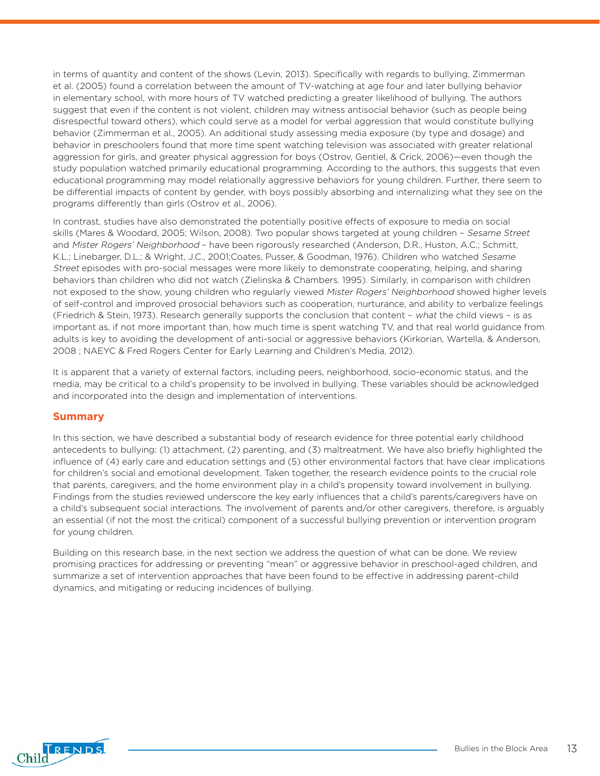in terms of quantity and content of the shows (Levin, 2013). Specifically with regards to bullying, Zimmerman et al. (2005) found a correlation between the amount of TV-watching at age four and later bullying behavior in elementary school, with more hours of TV watched predicting a greater likelihood of bullying. The authors suggest that even if the content is not violent, children may witness antisocial behavior (such as people being disrespectful toward others), which could serve as a model for verbal aggression that would constitute bullying behavior (Zimmerman et al., 2005). An additional study assessing media exposure (by type and dosage) and behavior in preschoolers found that more time spent watching television was associated with greater relational aggression for girls, and greater physical aggression for boys (Ostrov, Gentiel, & Crick, 2006)—even though the study population watched primarily educational programming. According to the authors, this suggests that even educational programming may model relationally aggressive behaviors for young children. Further, there seem to be differential impacts of content by gender, with boys possibly absorbing and internalizing what they see on the programs differently than girls (Ostrov et al., 2006).

In contrast, studies have also demonstrated the potentially positive effects of exposure to media on social skills (Mares & Woodard, 2005; Wilson, 2008). Two popular shows targeted at young children – Sesame Street and Mister Rogers' Neighborhood – have been rigorously researched (Anderson, D.R., Huston, A.C.; Schmitt, K.L.; Linebarger, D.L.; & Wright, J.C., 2001;Coates, Pusser, & Goodman, 1976). Children who watched Sesame Street episodes with pro-social messages were more likely to demonstrate cooperating, helping, and sharing behaviors than children who did not watch (Zielinska & Chambers. 1995). Similarly, in comparison with children not exposed to the show, young children who regularly viewed Mister Rogers' Neighborhood showed higher levels of self-control and improved prosocial behaviors such as cooperation, nurturance, and ability to verbalize feelings (Friedrich & Stein, 1973). Research generally supports the conclusion that content – what the child views – is as important as, if not more important than, how much time is spent watching TV, and that real world guidance from adults is key to avoiding the development of anti-social or aggressive behaviors (Kirkorian, Wartella, & Anderson, 2008 ; NAEYC & Fred Rogers Center for Early Learning and Children's Media, 2012).

It is apparent that a variety of external factors, including peers, neighborhood, socio-economic status, and the media, may be critical to a child's propensity to be involved in bullying. These variables should be acknowledged and incorporated into the design and implementation of interventions.

#### **Summary**

In this section, we have described a substantial body of research evidence for three potential early childhood antecedents to bullying: (1) attachment, (2) parenting, and (3) maltreatment. We have also briefly highlighted the influence of (4) early care and education settings and (5) other environmental factors that have clear implications for children's social and emotional development. Taken together, the research evidence points to the crucial role that parents, caregivers, and the home environment play in a child's propensity toward involvement in bullying. Findings from the studies reviewed underscore the key early influences that a child's parents/caregivers have on a child's subsequent social interactions. The involvement of parents and/or other caregivers, therefore, is arguably an essential (if not the most the critical) component of a successful bullying prevention or intervention program for young children.

Building on this research base, in the next section we address the question of what can be done. We review promising practices for addressing or preventing "mean" or aggressive behavior in preschool-aged children, and summarize a set of intervention approaches that have been found to be effective in addressing parent-child dynamics, and mitigating or reducing incidences of bullying.

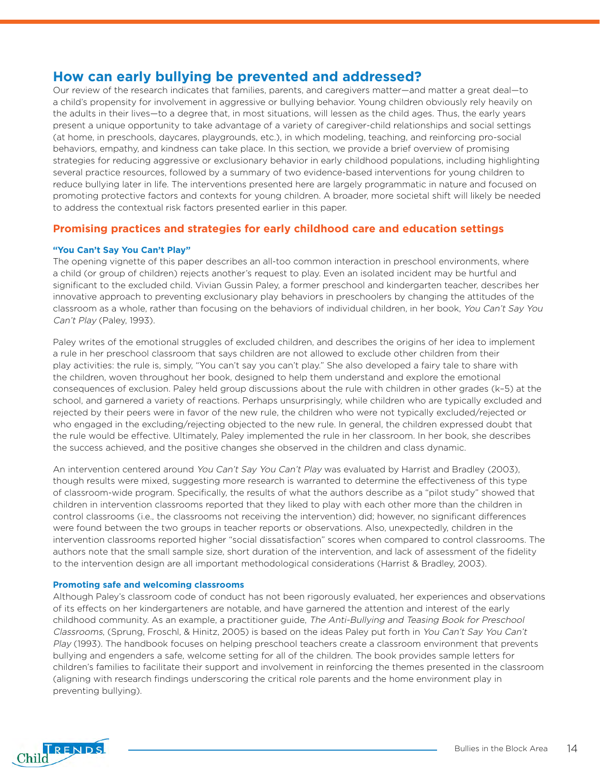### **How can early bullying be prevented and addressed?**

Our review of the research indicates that families, parents, and caregivers matter—and matter a great deal—to a child's propensity for involvement in aggressive or bullying behavior. Young children obviously rely heavily on the adults in their lives—to a degree that, in most situations, will lessen as the child ages. Thus, the early years present a unique opportunity to take advantage of a variety of caregiver-child relationships and social settings (at home, in preschools, daycares, playgrounds, etc.), in which modeling, teaching, and reinforcing pro-social behaviors, empathy, and kindness can take place. In this section, we provide a brief overview of promising strategies for reducing aggressive or exclusionary behavior in early childhood populations, including highlighting several practice resources, followed by a summary of two evidence-based interventions for young children to reduce bullying later in life. The interventions presented here are largely programmatic in nature and focused on promoting protective factors and contexts for young children. A broader, more societal shift will likely be needed to address the contextual risk factors presented earlier in this paper.

#### **Promising practices and strategies for early childhood care and education settings**

#### **"You Can't Say You Can't Play"**

The opening vignette of this paper describes an all-too common interaction in preschool environments, where a child (or group of children) rejects another's request to play. Even an isolated incident may be hurtful and significant to the excluded child. Vivian Gussin Paley, a former preschool and kindergarten teacher, describes her innovative approach to preventing exclusionary play behaviors in preschoolers by changing the attitudes of the classroom as a whole, rather than focusing on the behaviors of individual children, in her book, You Can't Say You Can't Play (Paley, 1993).

Paley writes of the emotional struggles of excluded children, and describes the origins of her idea to implement a rule in her preschool classroom that says children are not allowed to exclude other children from their play activities: the rule is, simply, "You can't say you can't play." She also developed a fairy tale to share with the children, woven throughout her book, designed to help them understand and explore the emotional consequences of exclusion. Paley held group discussions about the rule with children in other grades (k–5) at the school, and garnered a variety of reactions. Perhaps unsurprisingly, while children who are typically excluded and rejected by their peers were in favor of the new rule, the children who were not typically excluded/rejected or who engaged in the excluding/rejecting objected to the new rule. In general, the children expressed doubt that the rule would be effective. Ultimately, Paley implemented the rule in her classroom. In her book, she describes the success achieved, and the positive changes she observed in the children and class dynamic.

An intervention centered around You Can't Say You Can't Play was evaluated by Harrist and Bradley (2003), though results were mixed, suggesting more research is warranted to determine the effectiveness of this type of classroom-wide program. Specifically, the results of what the authors describe as a "pilot study" showed that children in intervention classrooms reported that they liked to play with each other more than the children in control classrooms (i.e., the classrooms not receiving the intervention) did; however, no significant differences were found between the two groups in teacher reports or observations. Also, unexpectedly, children in the intervention classrooms reported higher "social dissatisfaction" scores when compared to control classrooms. The authors note that the small sample size, short duration of the intervention, and lack of assessment of the fidelity to the intervention design are all important methodological considerations (Harrist & Bradley, 2003).

#### **Promoting safe and welcoming classrooms**

Although Paley's classroom code of conduct has not been rigorously evaluated, her experiences and observations of its effects on her kindergarteners are notable, and have garnered the attention and interest of the early childhood community. As an example, a practitioner guide, The Anti-Bullying and Teasing Book for Preschool Classrooms, (Sprung, Froschl, & Hinitz, 2005) is based on the ideas Paley put forth in You Can't Say You Can't Play (1993). The handbook focuses on helping preschool teachers create a classroom environment that prevents bullying and engenders a safe, welcome setting for all of the children. The book provides sample letters for children's families to facilitate their support and involvement in reinforcing the themes presented in the classroom (aligning with research findings underscoring the critical role parents and the home environment play in preventing bullying).

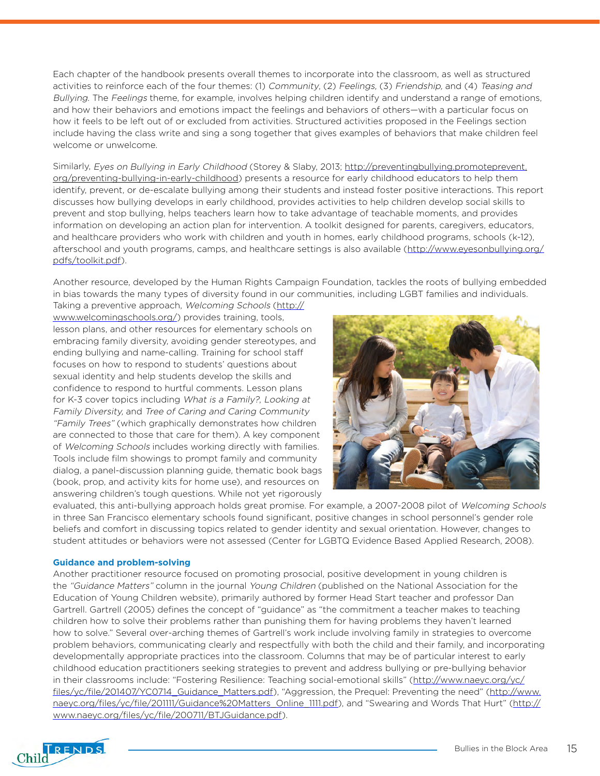Each chapter of the handbook presents overall themes to incorporate into the classroom, as well as structured activities to reinforce each of the four themes: (1) Community, (2) Feelings, (3) Friendship, and (4) Teasing and Bullying. The Feelings theme, for example, involves helping children identify and understand a range of emotions, and how their behaviors and emotions impact the feelings and behaviors of others—with a particular focus on how it feels to be left out of or excluded from activities. Structured activities proposed in the Feelings section include having the class write and sing a song together that gives examples of behaviors that make children feel welcome or unwelcome.

Similarly, Eyes on Bullying in Early Childhood (Storey & Slaby, 2013; [http://preventingbullying.promoteprevent.](http://preventingbullying.promoteprevent.org/preventing-bullying-in-early-childhood) org/preventing-bullying-in-early-childhood) presents a resource for early childhood educators to help them identify, prevent, or de-escalate bullying among their students and instead foster positive interactions. This report discusses how bullying develops in early childhood, provides activities to help children develop social skills to prevent and stop bullying, helps teachers learn how to take advantage of teachable moments, and provides information on developing an action plan for intervention. A toolkit designed for parents, caregivers, educators, and healthcare providers who work with children and youth in homes, early childhood programs, schools (k-12), afterschool and youth programs, camps, and healthcare settings is also available ([http://www.eyesonbullying.org/](http://www.eyesonbullying.org/pdfs/toolkit.pdf) [pdfs/toolkit.pdf\)](http://www.eyesonbullying.org/pdfs/toolkit.pdf).

Another resource, developed by the Human Rights Campaign Foundation, tackles the roots of bullying embedded in bias towards the many types of diversity found in our communities, including LGBT families and individuals.

Taking a preventive approach, Welcoming Schools [\(http://](http://www.welcomingschools.org/) [www.welcomingschools.org/\)](http://www.welcomingschools.org/) provides training, tools, lesson plans, and other resources for elementary schools on embracing family diversity, avoiding gender stereotypes, and [ending bullying and name-calling.](http://www.welcomingschools.org/bullying-name-calling/) Training for school staff focuses on how to respond to students' questions about sexual identity and help students develop the skills and confidence to respond to hurtful comments. Lesson plans for K-3 cover topics including What is a Family?, Looking at Family Diversity, and Tree of Caring and Caring Community "Family Trees" (which graphically demonstrates how children are connected to those that care for them). A key component of Welcoming Schools includes working directly with families. Tools include film showings to prompt family and community dialog, a panel-discussion planning guide, thematic book bags (book, prop, and activity kits for home use), and resources on answering children's tough questions. While not yet rigorously



evaluated, this anti-bullying approach holds great promise. For example, a 2007-2008 pilot of Welcoming Schools in three San Francisco elementary schools found significant, positive changes in school personnel's gender role beliefs and comfort in discussing topics related to gender identity and sexual orientation. However, changes to student attitudes or behaviors were not assessed (Center for LGBTQ Evidence Based Applied Research, 2008).

#### **Guidance and problem-solving**

Another practitioner resource focused on promoting prosocial, positive development in young children is the "Guidance Matters" column in the journal Young Children (published on the National Association for the Education of Young Children website), primarily authored by former Head Start teacher and professor Dan Gartrell. Gartrell (2005) defines the concept of "guidance" as "the commitment a teacher makes to teaching children how to solve their problems rather than punishing them for having problems they haven't learned how to solve." Several over-arching themes of Gartrell's work include involving family in strategies to overcome problem behaviors, communicating clearly and respectfully with both the child and their family, and incorporating developmentally appropriate practices into the classroom. Columns that may be of particular interest to early childhood education practitioners seeking strategies to prevent and address bullying or pre-bullying behavior in their classrooms include: "Fostering Resilience: Teaching social-emotional skills" ([http://www.naeyc.org/yc/](http://www.naeyc.org/yc/files/yc/file/201407/YC0714_Guidance_Matters.pdf) [files/yc/file/201407/YC0714\\_Guidance\\_Matters.pdf\),](http://www.naeyc.org/yc/files/yc/file/201407/YC0714_Guidance_Matters.pdf) "Aggression, the Prequel: Preventing the need" ([http://www.](http://www.naeyc.org/files/yc/file/201111/Guidance%20Matters_Online_1111.pdf) [naeyc.org/files/yc/file/201111/Guidance%20Matters\\_Online\\_1111.pdf](http://www.naeyc.org/files/yc/file/201111/Guidance%20Matters_Online_1111.pdf)), and "Swearing and Words That Hurt" ([http://](http://www.naeyc.org/files/yc/file/200711/BTJGuidance.pdf) [www.naeyc.org/files/yc/file/200711/BTJGuidance.pdf\)](http://www.naeyc.org/files/yc/file/200711/BTJGuidance.pdf).

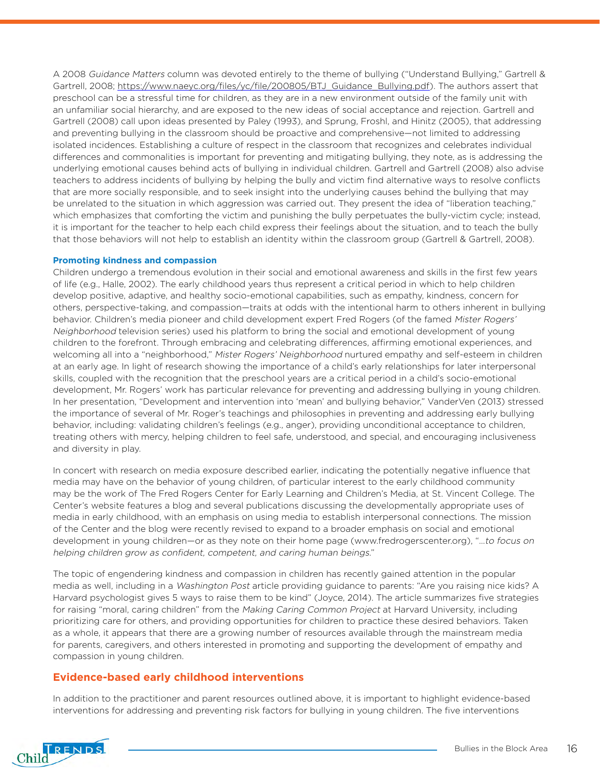A 2008 Guidance Matters column was devoted entirely to the theme of bullying ("Understand Bullying," Gartrell & Gartrell, 2008; [https://www.naeyc.org/files/yc/file/200805/BTJ\\_Guidance\\_Bullying.pdf\)](https://www.naeyc.org/files/yc/file/200805/BTJ_Guidance_Bullying.pdf). The authors assert that preschool can be a stressful time for children, as they are in a new environment outside of the family unit with an unfamiliar social hierarchy, and are exposed to the new ideas of social acceptance and rejection. Gartrell and Gartrell (2008) call upon ideas presented by Paley (1993), and Sprung, Froshl, and Hinitz (2005), that addressing and preventing bullying in the classroom should be proactive and comprehensive—not limited to addressing isolated incidences. Establishing a culture of respect in the classroom that recognizes and celebrates individual differences and commonalities is important for preventing and mitigating bullying, they note, as is addressing the underlying emotional causes behind acts of bullying in individual children. Gartrell and Gartrell (2008) also advise teachers to address incidents of bullying by helping the bully and victim find alternative ways to resolve conflicts that are more socially responsible, and to seek insight into the underlying causes behind the bullying that may be unrelated to the situation in which aggression was carried out. They present the idea of "liberation teaching," which emphasizes that comforting the victim and punishing the bully perpetuates the bully-victim cycle; instead, it is important for the teacher to help each child express their feelings about the situation, and to teach the bully that those behaviors will not help to establish an identity within the classroom group (Gartrell & Gartrell, 2008).

#### **Promoting kindness and compassion**

Children undergo a tremendous evolution in their social and emotional awareness and skills in the first few years of life (e.g., Halle, 2002). The early childhood years thus represent a critical period in which to help children develop positive, adaptive, and healthy socio-emotional capabilities, such as empathy, kindness, concern for others, perspective-taking, and compassion—traits at odds with the intentional harm to others inherent in bullying behavior. Children's media pioneer and child development expert Fred Rogers (of the famed Mister Rogers' Neighborhood television series) used his platform to bring the social and emotional development of young children to the forefront. Through embracing and celebrating differences, affirming emotional experiences, and welcoming all into a "neighborhood," Mister Rogers' Neighborhood nurtured empathy and self-esteem in children at an early age. In light of research showing the importance of a child's early relationships for later interpersonal skills, coupled with the recognition that the preschool years are a critical period in a child's socio-emotional development, Mr. Rogers' work has particular relevance for preventing and addressing bullying in young children. In her presentation, "Development and intervention into 'mean' and bullying behavior," VanderVen (2013) stressed the importance of several of Mr. Roger's teachings and philosophies in preventing and addressing early bullying behavior, including: validating children's feelings (e.g., anger), providing unconditional acceptance to children, treating others with mercy, helping children to feel safe, understood, and special, and encouraging inclusiveness and diversity in play.

In concert with research on media exposure described earlier, indicating the potentially negative influence that media may have on the behavior of young children, of particular interest to the early childhood community may be the work of The Fred Rogers Center for Early Learning and Children's Media, at St. Vincent College. The Center's website features a blog and several publications discussing the developmentally appropriate uses of media in early childhood, with an emphasis on using media to establish interpersonal connections. The mission of the Center and the blog were recently revised to expand to a broader emphasis on social and emotional development in young children—or as they note on their home page ([www.fredrogerscenter.org\)](http://www.fredrogerscenter.org), "…to focus on helping children grow as confident, competent, and caring human beings."

The topic of engendering kindness and compassion in children has recently gained attention in the popular media as well, including in a Washington Post article providing guidance to parents: "Are you raising nice kids? A Harvard psychologist gives 5 ways to raise them to be kind" (Joyce, 2014). The article summarizes five strategies for raising "moral, caring children" from the Making Caring Common Project at Harvard University, including prioritizing care for others, and providing opportunities for children to practice these desired behaviors. Taken as a whole, it appears that there are a growing number of resources available through the mainstream media for parents, caregivers, and others interested in promoting and supporting the development of empathy and compassion in young children.

#### **Evidence-based early childhood interventions**

In addition to the practitioner and parent resources outlined above, it is important to highlight evidence-based interventions for addressing and preventing risk factors for bullying in young children. The five interventions

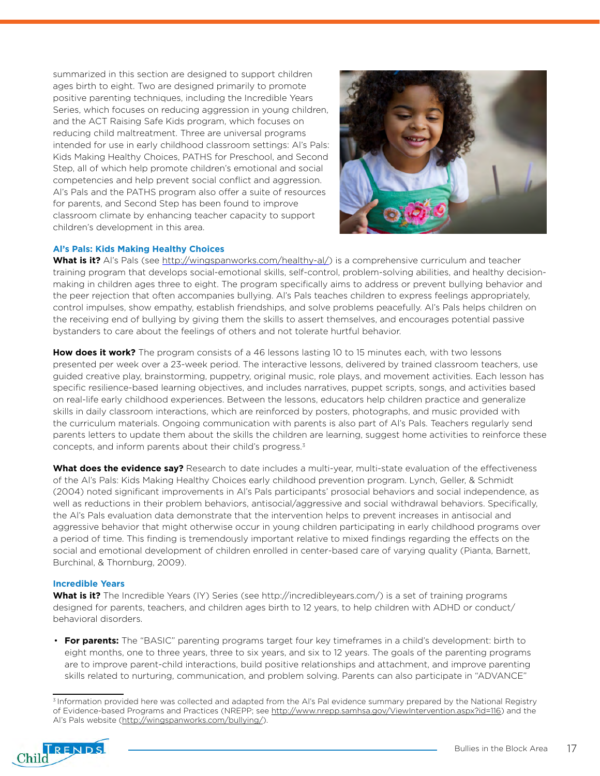summarized in this section are designed to support children ages birth to eight. Two are designed primarily to promote positive parenting techniques, including the Incredible Years Series, which focuses on reducing aggression in young children, and the ACT Raising Safe Kids program, which focuses on reducing child maltreatment. Three are universal programs intended for use in early childhood classroom settings: Al's Pals: Kids Making Healthy Choices, PATHS for Preschool, and Second Step, all of which help promote children's emotional and social competencies and help prevent social conflict and aggression. Al's Pals and the PATHS program also offer a suite of resources for parents, and Second Step has been found to improve classroom climate by enhancing teacher capacity to support children's development in this area.



#### **Al's Pals: Kids Making Healthy Choices**

**What is it?** Al's Pals (see [http://wingspanworks.com/healthy-al/\)](http://wingspanworks.com/healthy-al/) is a comprehensive curriculum and teacher training program that develops social-emotional skills, self-control, problem-solving abilities, and healthy decisionmaking in children ages three to eight. The program specifically aims to address or prevent bullying behavior and the peer rejection that often accompanies bullying. Al's Pals teaches children to express feelings appropriately, control impulses, show empathy, establish friendships, and solve problems peacefully. Al's Pals helps children on the receiving end of bullying by giving them the skills to assert themselves, and encourages potential passive bystanders to care about the feelings of others and not tolerate hurtful behavior.

**How does it work?** The program consists of a 46 lessons lasting 10 to 15 minutes each, with two lessons presented per week over a 23-week period. The interactive lessons, delivered by trained classroom teachers, use guided creative play, brainstorming, puppetry, original music, role plays, and movement activities. Each lesson has specific resilience-based learning objectives, and includes narratives, puppet scripts, songs, and activities based on real-life early childhood experiences. Between the lessons, educators help children practice and generalize skills in daily classroom interactions, which are reinforced by posters, photographs, and music provided with the curriculum materials. Ongoing communication with parents is also part of Al's Pals. Teachers regularly send parents letters to update them about the skills the children are learning, suggest home activities to reinforce these concepts, and inform parents about their child's progress.3

**What does the evidence say?** Research to date includes a multi-year, multi-state evaluation of the effectiveness of the Al's Pals: Kids Making Healthy Choices early childhood prevention program. Lynch, Geller, & Schmidt (2004) noted significant improvements in Al's Pals participants' prosocial behaviors and social independence, as well as reductions in their problem behaviors, antisocial/aggressive and social withdrawal behaviors. Specifically, the Al's Pals evaluation data demonstrate that the intervention helps to prevent increases in antisocial and aggressive behavior that might otherwise occur in young children participating in early childhood programs over a period of time. This finding is tremendously important relative to mixed findings regarding the effects on the social and emotional development of children enrolled in center-based care of varying quality (Pianta, Barnett, Burchinal, & Thornburg, 2009).

#### **Incredible Years**

What is it? The Incredible Years (IY) Series (see [http://incredibleyears.com/\)](http://incredibleyears.com/) is a set of training programs designed for parents, teachers, and children ages birth to 12 years, to help children with ADHD or conduct/ behavioral disorders.

• **For parents:** The "BASIC" parenting programs target four key timeframes in a child's development: birth to eight months, one to three years, three to six years, and six to 12 years. The goals of the parenting programs are to improve parent-child interactions, build positive relationships and attachment, and improve parenting skills related to nurturing, communication, and problem solving. Parents can also participate in "ADVANCE"

<sup>&</sup>lt;sup>3</sup> Information provided here was collected and adapted from the AI's Pal evidence summary prepared by the National Registry of Evidence-based Programs and Practices (NREPP; see<http://www.nrepp.samhsa.gov/ViewIntervention.aspx?id=116>) and the Al's Pals website (<http://wingspanworks.com/bullying/>).

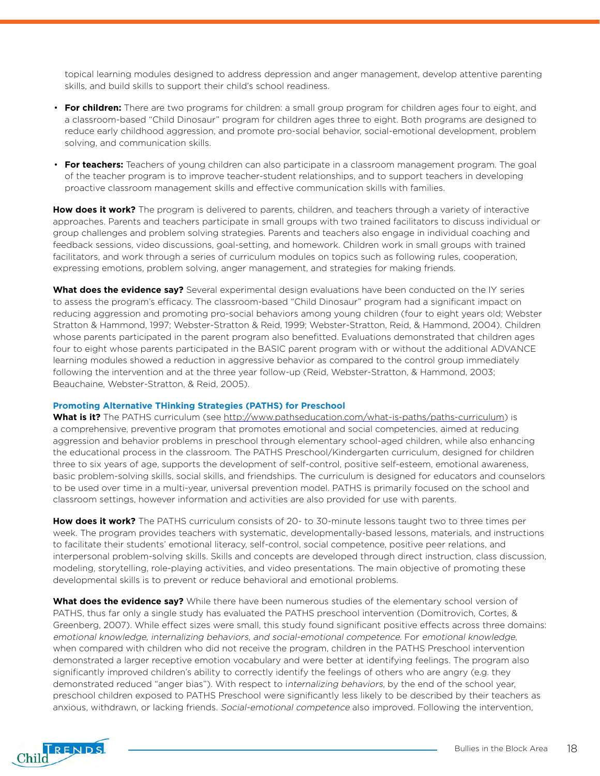topical learning modules designed to address depression and anger management, develop attentive parenting skills, and build skills to support their child's school readiness.

- **For children:** There are two programs for children: a small group program for children ages four to eight, and a classroom-based "Child Dinosaur" program for children ages three to eight. Both programs are designed to reduce early childhood aggression, and promote pro-social behavior, social-emotional development, problem solving, and communication skills.
- **For teachers:** Teachers of young children can also participate in a classroom management program. The goal of the teacher program is to improve teacher-student relationships, and to support teachers in developing proactive classroom management skills and effective communication skills with families.

**How does it work?** The program is delivered to parents, children, and teachers through a variety of interactive approaches. Parents and teachers participate in small groups with two trained facilitators to discuss individual or group challenges and problem solving strategies. Parents and teachers also engage in individual coaching and feedback sessions, video discussions, goal-setting, and homework. Children work in small groups with trained facilitators, and work through a series of curriculum modules on topics such as following rules, cooperation, expressing emotions, problem solving, anger management, and strategies for making friends.

What does the evidence say? Several experimental design evaluations have been conducted on the IY series to assess the program's efficacy. The classroom-based "Child Dinosaur" program had a significant impact on reducing aggression and promoting pro-social behaviors among young children (four to eight years old; Webster Stratton & Hammond, 1997; Webster-Stratton & Reid, 1999; Webster-Stratton, Reid, & Hammond, 2004). Children whose parents participated in the parent program also benefitted. Evaluations demonstrated that children ages four to eight whose parents participated in the BASIC parent program with or without the additional ADVANCE learning modules showed a reduction in aggressive behavior as compared to the control group immediately following the intervention and at the three year follow-up (Reid, Webster-Stratton, & Hammond, 2003; Beauchaine, Webster-Stratton, & Reid, 2005).

#### **Promoting Alternative THinking Strategies (PATHS) for Preschool**

**What is it?** The PATHS curriculum (see [http://www.pathseducation.com/what-is-paths/paths-curriculum\)](http://www.pathseducation.com/what-is-paths/paths-curriculum) is a comprehensive, preventive program that promotes emotional and social competencies, aimed at reducing aggression and behavior problems in preschool through elementary school-aged children, while also enhancing the educational process in the classroom. The PATHS Preschool/Kindergarten curriculum, designed for children three to six years of age, supports the development of self-control, positive self-esteem, emotional awareness, basic problem-solving skills, social skills, and friendships. The curriculum is designed for educators and counselors to be used over time in a multi-year, universal prevention model. PATHS is primarily focused on the school and classroom settings, however information and activities are also provided for use with parents.

**How does it work?** The PATHS curriculum consists of 20- to 30-minute lessons taught two to three times per week. The program provides teachers with systematic, developmentally-based lessons, materials, and instructions to facilitate their students' emotional literacy, self-control, social competence, positive peer relations, and interpersonal problem-solving skills. Skills and concepts are developed through direct instruction, class discussion, modeling, storytelling, role-playing activities, and video presentations. The main objective of promoting these developmental skills is to prevent or reduce behavioral and emotional problems.

**What does the evidence say?** While there have been numerous studies of the elementary school version of PATHS, thus far only a single study has evaluated the PATHS preschool intervention (Domitrovich, Cortes, & Greenberg, 2007). While effect sizes were small, this study found significant positive effects across three domains: emotional knowledge, internalizing behaviors, and social-emotional competence. For emotional knowledge, when compared with children who did not receive the program, children in the PATHS Preschool intervention demonstrated a larger receptive emotion vocabulary and were better at identifying feelings. The program also significantly improved children's ability to correctly identify the feelings of others who are angry (e.g. they demonstrated reduced "anger bias"). With respect to internalizing behaviors, by the end of the school year, preschool children exposed to PATHS Preschool were significantly less likely to be described by their teachers as anxious, withdrawn, or lacking friends. Social-emotional competence also improved. Following the intervention,

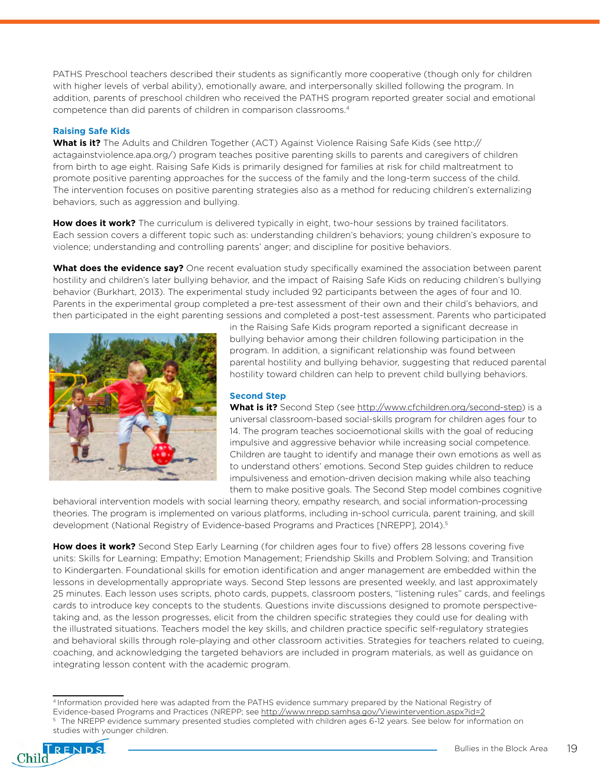PATHS Preschool teachers described their students as significantly more cooperative (though only for children with higher levels of verbal ability), emotionally aware, and interpersonally skilled following the program. In addition, parents of preschool children who received the PATHS program reported greater social and emotional competence than did parents of children in comparison classrooms.4

#### **Raising Safe Kids**

**What is it?** The Adults and Children Together (ACT) Against Violence Raising Safe Kids (see [http://](http://actagainstviolence.apa.org/) [actagainstviolence.apa.org/](http://actagainstviolence.apa.org/)) program teaches positive parenting skills to parents and caregivers of children from birth to age eight. Raising Safe Kids is primarily designed for families at risk for child maltreatment to promote positive parenting approaches for the success of the family and the long-term success of the child. The intervention focuses on positive parenting strategies also as a method for reducing children's externalizing behaviors, such as aggression and bullying.

How does it work? The curriculum is delivered typically in eight, two-hour sessions by trained facilitators. Each session covers a different topic such as: understanding children's behaviors; young children's exposure to violence; understanding and controlling parents' anger; and discipline for positive behaviors.

**What does the evidence say?** One recent evaluation study specifically examined the association between parent hostility and children's later bullying behavior, and the impact of Raising Safe Kids on reducing children's bullying behavior (Burkhart, 2013). The experimental study included 92 participants between the ages of four and 10. Parents in the experimental group completed a pre-test assessment of their own and their child's behaviors, and then participated in the eight parenting sessions and completed a post-test assessment. Parents who participated



in the Raising Safe Kids program reported a significant decrease in bullying behavior among their children following participation in the program. In addition, a significant relationship was found between parental hostility and bullying behavior, suggesting that reduced parental hostility toward children can help to prevent child bullying behaviors.

#### **Second Step**

What is it? Second Step (see [http://www.cfchildren.org/second-step\)](http://www.cfchildren.org/second-step) is a universal classroom-based social-skills program for children ages four to 14. The program teaches socioemotional skills with the goal of reducing impulsive and aggressive behavior while increasing social competence. Children are taught to identify and manage their own emotions as well as to understand others' emotions. Second Step guides children to reduce impulsiveness and emotion-driven decision making while also teaching them to make positive goals. The Second Step model combines cognitive

behavioral intervention models with social learning theory, empathy research, and social information-processing theories. The program is implemented on various platforms, including in-school curricula, parent training, and skill development (National Registry of Evidence-based Programs and Practices [NREPP], 2014).<sup>5</sup>

**How does it work?** Second Step Early Learning (for children ages four to five) offers 28 lessons covering five units: Skills for Learning; Empathy; Emotion Management; Friendship Skills and Problem Solving; and Transition to Kindergarten. Foundational skills for emotion identification and anger management are embedded within the lessons in developmentally appropriate ways. Second Step lessons are presented weekly, and last approximately 25 minutes. Each lesson uses scripts, photo cards, puppets, classroom posters, "listening rules" cards, and feelings cards to introduce key concepts to the students. Questions invite discussions designed to promote perspectivetaking and, as the lesson progresses, elicit from the children specific strategies they could use for dealing with the illustrated situations. Teachers model the key skills, and children practice specific self-regulatory strategies and behavioral skills through role-playing and other classroom activities. Strategies for teachers related to cueing, coaching, and acknowledging the targeted behaviors are included in program materials, as well as guidance on integrating lesson content with the academic program.

The NREPP evidence summary presented studies completed with children ages 6-12 years. See below for information on studies with younger children.



<sup>4</sup> Information provided here was adapted from the PATHS evidence summary prepared by the National Registry of

Evidence-based Programs and Practices (NREPP; see [http://www.nrepp.samhsa.gov/Viewintervention.aspx?id=2](http://www.nrepp.samhsa.gov/Viewintervention.aspx?id=20)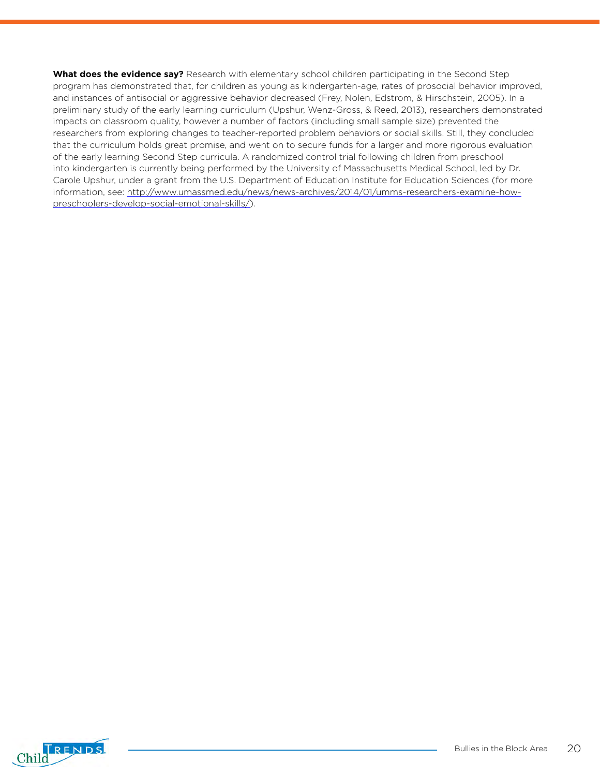**What does the evidence say?** Research with elementary school children participating in the Second Step program has demonstrated that, for children as young as kindergarten-age, rates of prosocial behavior improved, and instances of antisocial or aggressive behavior decreased (Frey, Nolen, Edstrom, & Hirschstein, 2005). In a preliminary study of the early learning curriculum (Upshur, Wenz-Gross, & Reed, 2013), researchers demonstrated impacts on classroom quality, however a number of factors (including small sample size) prevented the researchers from exploring changes to teacher-reported problem behaviors or social skills. Still, they concluded that the curriculum holds great promise, and went on to secure funds for a larger and more rigorous evaluation of the early learning Second Step curricula. A randomized control trial following children from preschool into kindergarten is currently being performed by the University of Massachusetts Medical School, led by Dr. Carole Upshur, under a grant from the U.S. Department of Education Institute for Education Sciences (for more information, see: [http://www.umassmed.edu/news/news-archives/2014/01/umms-researchers-examine-how](http://www.umassmed.edu/news/news-archives/2014/01/umms-researchers-examine-how-preschoolers-develop-social-emotional-skills/)[preschoolers-develop-social-emotional-skills/\)](http://www.umassmed.edu/news/news-archives/2014/01/umms-researchers-examine-how-preschoolers-develop-social-emotional-skills/).

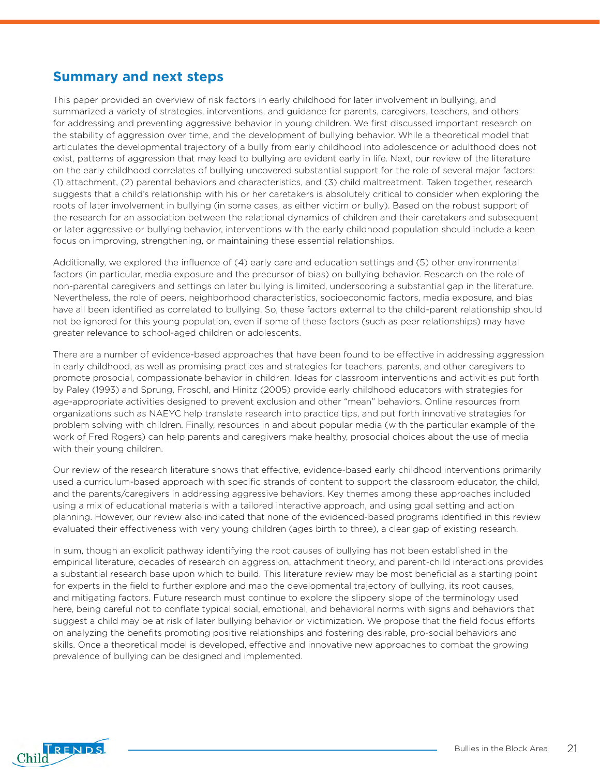### **Summary and next steps**

This paper provided an overview of risk factors in early childhood for later involvement in bullying, and summarized a variety of strategies, interventions, and guidance for parents, caregivers, teachers, and others for addressing and preventing aggressive behavior in young children. We first discussed important research on the stability of aggression over time, and the development of bullying behavior. While a theoretical model that articulates the developmental trajectory of a bully from early childhood into adolescence or adulthood does not exist, patterns of aggression that may lead to bullying are evident early in life. Next, our review of the literature on the early childhood correlates of bullying uncovered substantial support for the role of several major factors: (1) attachment, (2) parental behaviors and characteristics, and (3) child maltreatment. Taken together, research suggests that a child's relationship with his or her caretakers is absolutely critical to consider when exploring the roots of later involvement in bullying (in some cases, as either victim or bully). Based on the robust support of the research for an association between the relational dynamics of children and their caretakers and subsequent or later aggressive or bullying behavior, interventions with the early childhood population should include a keen focus on improving, strengthening, or maintaining these essential relationships.

Additionally, we explored the influence of (4) early care and education settings and (5) other environmental factors (in particular, media exposure and the precursor of bias) on bullying behavior. Research on the role of non-parental caregivers and settings on later bullying is limited, underscoring a substantial gap in the literature. Nevertheless, the role of peers, neighborhood characteristics, socioeconomic factors, media exposure, and bias have all been identified as correlated to bullying. So, these factors external to the child-parent relationship should not be ignored for this young population, even if some of these factors (such as peer relationships) may have greater relevance to school-aged children or adolescents.

There are a number of evidence-based approaches that have been found to be effective in addressing aggression in early childhood, as well as promising practices and strategies for teachers, parents, and other caregivers to promote prosocial, compassionate behavior in children. Ideas for classroom interventions and activities put forth by Paley (1993) and Sprung, Froschl, and Hinitz (2005) provide early childhood educators with strategies for age-appropriate activities designed to prevent exclusion and other "mean" behaviors. Online resources from organizations such as NAEYC help translate research into practice tips, and put forth innovative strategies for problem solving with children. Finally, resources in and about popular media (with the particular example of the work of Fred Rogers) can help parents and caregivers make healthy, prosocial choices about the use of media with their young children.

Our review of the research literature shows that effective, evidence-based early childhood interventions primarily used a curriculum-based approach with specific strands of content to support the classroom educator, the child, and the parents/caregivers in addressing aggressive behaviors. Key themes among these approaches included using a mix of educational materials with a tailored interactive approach, and using goal setting and action planning. However, our review also indicated that none of the evidenced-based programs identified in this review evaluated their effectiveness with very young children (ages birth to three), a clear gap of existing research.

In sum, though an explicit pathway identifying the root causes of bullying has not been established in the empirical literature, decades of research on aggression, attachment theory, and parent-child interactions provides a substantial research base upon which to build. This literature review may be most beneficial as a starting point for experts in the field to further explore and map the developmental trajectory of bullying, its root causes, and mitigating factors. Future research must continue to explore the slippery slope of the terminology used here, being careful not to conflate typical social, emotional, and behavioral norms with signs and behaviors that suggest a child may be at risk of later bullying behavior or victimization. We propose that the field focus efforts on analyzing the benefits promoting positive relationships and fostering desirable, pro-social behaviors and skills. Once a theoretical model is developed, effective and innovative new approaches to combat the growing prevalence of bullying can be designed and implemented.

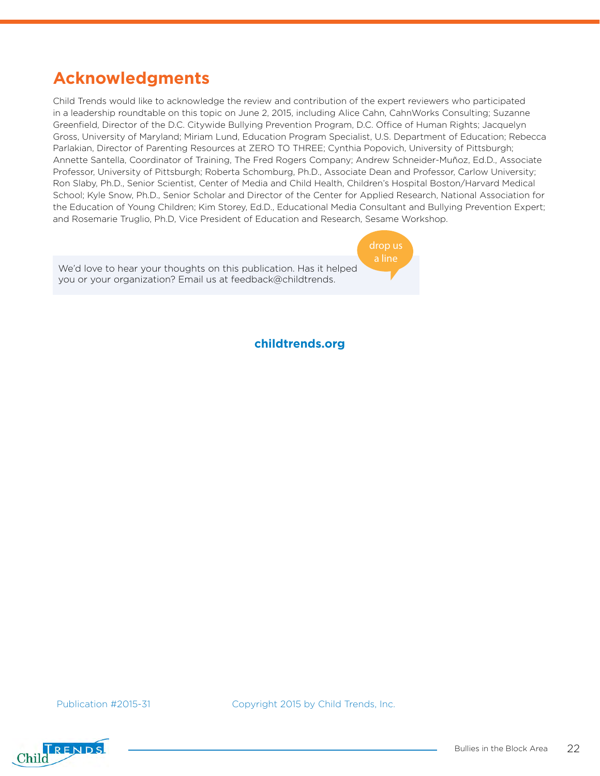# **Acknowledgments**

Child Trends would like to acknowledge the review and contribution of the expert reviewers who participated in a leadership roundtable on this topic on June 2, 2015, including Alice Cahn, CahnWorks Consulting; Suzanne Greenfield, Director of the D.C. Citywide Bullying Prevention Program, D.C. Office of Human Rights; Jacquelyn Gross, University of Maryland; Miriam Lund, Education Program Specialist, U.S. Department of Education; Rebecca Parlakian, Director of Parenting Resources at ZERO TO THREE; Cynthia Popovich, University of Pittsburgh; Annette Santella, Coordinator of Training, The Fred Rogers Company; Andrew Schneider-Muñoz, Ed.D., Associate Professor, University of Pittsburgh; Roberta Schomburg, Ph.D., Associate Dean and Professor, Carlow University; Ron Slaby, Ph.D., Senior Scientist, Center of Media and Child Health, Children's Hospital Boston/Harvard Medical School; Kyle Snow, Ph.D., Senior Scholar and Director of the Center for Applied Research, National Association for the Education of Young Children; Kim Storey, Ed.D., Educational Media Consultant and Bullying Prevention Expert; and Rosemarie Truglio, Ph.D, Vice President of Education and Research, Sesame Workshop.



**childtrends.org**

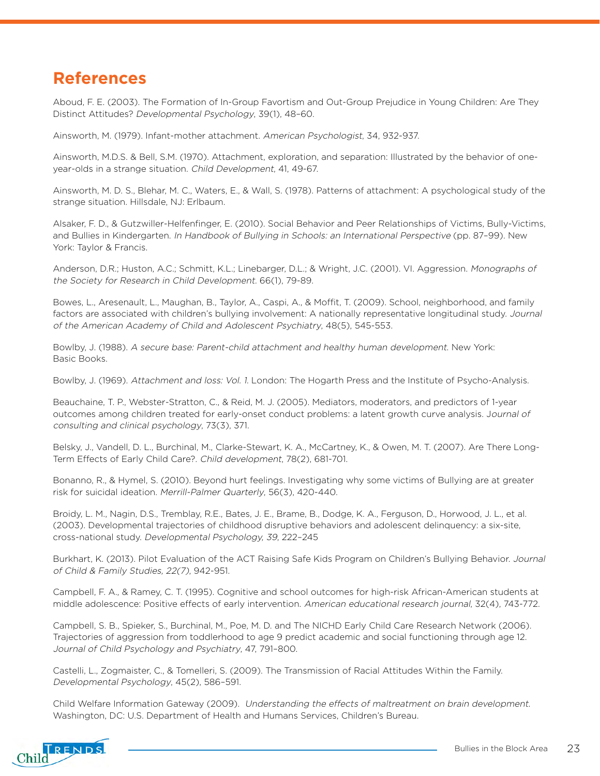## **References**

Aboud, F. E. (2003). The Formation of In-Group Favortism and Out-Group Prejudice in Young Children: Are They Distinct Attitudes? Developmental Psychology, 39(1), 48–60.

Ainsworth, M. (1979). Infant-mother attachment. American Psychologist, 34, 932-937.

Ainsworth, M.D.S. & Bell, S.M. (1970). Attachment, exploration, and separation: Illustrated by the behavior of oneyear-olds in a strange situation. Child Development, 41, 49-67.

Ainsworth, M. D. S., Blehar, M. C., Waters, E., & Wall, S. (1978). Patterns of attachment: A psychological study of the strange situation. Hillsdale, NJ: Erlbaum.

Alsaker, F. D., & Gutzwiller-Helfenfinger, E. (2010). Social Behavior and Peer Relationships of Victims, Bully-Victims, and Bullies in Kindergarten. In Handbook of Bullying in Schools: an International Perspective (pp. 87–99). New York: Taylor & Francis.

Anderson, D.R.; Huston, A.C.; Schmitt, K.L.; Linebarger, D.L.; & Wright, J.C. (2001). VI. Aggression. Monographs of the Society for Research in Child Development. 66(1), 79-89.

Bowes, L., Aresenault, L., Maughan, B., Taylor, A., Caspi, A., & Moffit, T. (2009). School, neighborhood, and family factors are associated with children's bullying involvement: A nationally representative longitudinal study. Journal of the American Academy of Child and Adolescent Psychiatry, 48(5), 545-553.

Bowlby, J. (1988). A secure base: Parent-child attachment and healthy human development. New York: Basic Books.

Bowlby, J. (1969). Attachment and loss: Vol. 1. London: The Hogarth Press and the Institute of Psycho-Analysis.

Beauchaine, T. P., Webster-Stratton, C., & Reid, M. J. (2005). Mediators, moderators, and predictors of 1-year outcomes among children treated for early-onset conduct problems: a latent growth curve analysis. Journal of consulting and clinical psychology, 73(3), 371.

Belsky, J., Vandell, D. L., Burchinal, M., Clarke-Stewart, K. A., McCartney, K., & Owen, M. T. (2007). Are There Long-Term Effects of Early Child Care?. Child development, 78(2), 681-701.

Bonanno, R., & Hymel, S. (2010). Beyond hurt feelings. Investigating why some victims of Bullying are at greater risk for suicidal ideation. Merrill-Palmer Quarterly, 56(3), 420-440.

Broidy, L. M., Nagin, D.S., Tremblay, R.E., Bates, J. E., Brame, B., Dodge, K. A., Ferguson, D., Horwood, J. L., et al. (2003). Developmental trajectories of childhood disruptive behaviors and adolescent delinquency: a six-site, cross-national study. Developmental Psychology, 39, 222–245

Burkhart, K. (2013). Pilot Evaluation of the ACT Raising Safe Kids Program on Children's Bullying Behavior. Journal of Child & Family Studies, 22(7), 942-951.

Campbell, F. A., & Ramey, C. T. (1995). Cognitive and school outcomes for high-risk African-American students at middle adolescence: Positive effects of early intervention. American educational research journal, 32(4), 743-772.

Campbell, S. B., Spieker, S., Burchinal, M., Poe, M. D. and The NICHD Early Child Care Research Network (2006). Trajectories of aggression from toddlerhood to age 9 predict academic and social functioning through age 12. Journal of Child Psychology and Psychiatry, 47, 791–800.

Castelli, L., Zogmaister, C., & Tomelleri, S. (2009). The Transmission of Racial Attitudes Within the Family. Developmental Psychology, 45(2), 586–591.

Child Welfare Information Gateway (2009). Understanding the effects of maltreatment on brain development. Washington, DC: U.S. Department of Health and Humans Services, Children's Bureau.

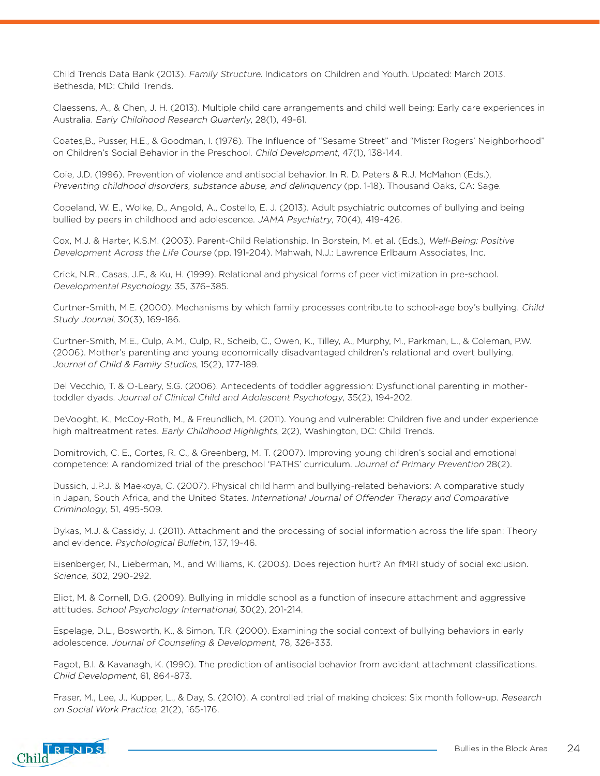Child Trends Data Bank (2013). Family Structure. Indicators on Children and Youth. Updated: March 2013. Bethesda, MD: Child Trends.

Claessens, A., & Chen, J. H. (2013). Multiple child care arrangements and child well being: Early care experiences in Australia. Early Childhood Research Quarterly, 28(1), 49-61.

Coates,B., Pusser, H.E., & Goodman, I. (1976). The Influence of "Sesame Street" and "Mister Rogers' Neighborhood" on Children's Social Behavior in the Preschool. Child Development, 47(1), 138-144.

Coie, J.D. (1996). Prevention of violence and antisocial behavior. In R. D. Peters & R.J. McMahon (Eds.), Preventing childhood disorders, substance abuse, and delinquency (pp. 1-18). Thousand Oaks, CA: Sage.

Copeland, W. E., Wolke, D., Angold, A., Costello, E. J. (2013). Adult psychiatric outcomes of bullying and being bullied by peers in childhood and adolescence. JAMA Psychiatry, 70(4), 419-426.

Cox, M.J. & Harter, K.S.M. (2003). Parent-Child Relationship. In Borstein, M. et al. (Eds.), Well-Being: Positive Development Across the Life Course (pp. 191-204). Mahwah, N.J.: Lawrence Erlbaum Associates, Inc.

Crick, N.R., Casas, J.F., & Ku, H. (1999). Relational and physical forms of peer victimization in pre-school. Developmental Psychology, 35, 376–385.

Curtner-Smith, M.E. (2000). Mechanisms by which family processes contribute to school-age boy's bullying. Child Study Journal, 30(3), 169-186.

Curtner-Smith, M.E., Culp, A.M., Culp, R., Scheib, C., Owen, K., Tilley, A., Murphy, M., Parkman, L., & Coleman, P.W. (2006). Mother's parenting and young economically disadvantaged children's relational and overt bullying. Journal of Child & Family Studies, 15(2), 177-189.

Del Vecchio, T. & O-Leary, S.G. (2006). Antecedents of toddler aggression: Dysfunctional parenting in mothertoddler dyads. Journal of Clinical Child and Adolescent Psychology, 35(2), 194-202.

DeVooght, K., McCoy-Roth, M., & Freundlich, M. (2011). Young and vulnerable: Children five and under experience high maltreatment rates. Early Childhood Highlights, 2(2), Washington, DC: Child Trends.

Domitrovich, C. E., Cortes, R. C., & Greenberg, M. T. (2007). Improving young children's social and emotional competence: A randomized trial of the preschool 'PATHS' curriculum. Journal of Primary Prevention 28(2).

Dussich, J.P.J. & Maekoya, C. (2007). Physical child harm and bullying-related behaviors: A comparative study in Japan, South Africa, and the United States. International Journal of Offender Therapy and Comparative Criminology, 51, 495-509.

Dykas, M.J. & Cassidy, J. (2011). Attachment and the processing of social information across the life span: Theory and evidence. Psychological Bulletin, 137, 19-46.

Eisenberger, N., Lieberman, M., and Williams, K. (2003). Does rejection hurt? An fMRI study of social exclusion. Science, 302, 290-292.

Eliot, M. & Cornell, D.G. (2009). Bullying in middle school as a function of insecure attachment and aggressive attitudes. School Psychology International, 30(2), 201-214.

Espelage, D.L., Bosworth, K., & Simon, T.R. (2000). Examining the social context of bullying behaviors in early adolescence. Journal of Counseling & Development, 78, 326-333.

Fagot, B.I. & Kavanagh, K. (1990). The prediction of antisocial behavior from avoidant attachment classifications. Child Development, 61, 864-873.

Fraser, M., Lee, J., Kupper, L., & Day, S. (2010). A controlled trial of making choices: Six month follow-up. Research on Social Work Practice, 21(2), 165-176.

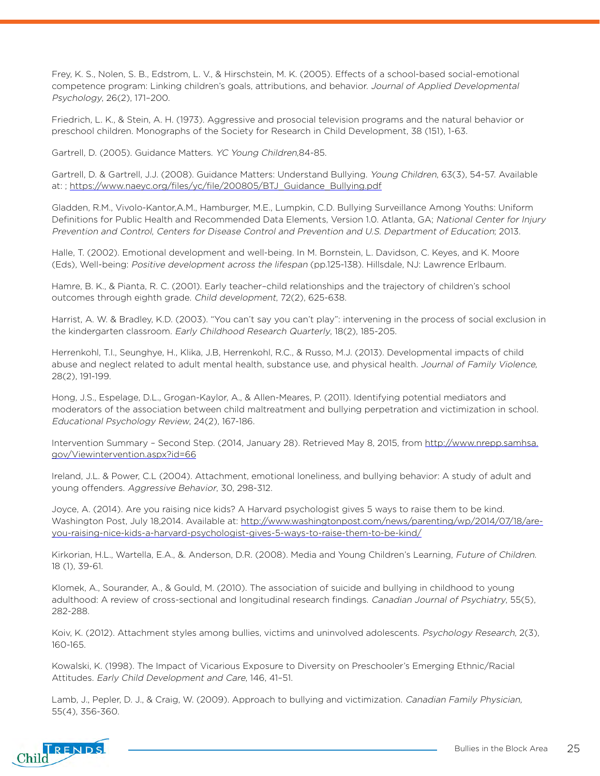Frey, K. S., Nolen, S. B., Edstrom, L. V., & Hirschstein, M. K. (2005). Effects of a school-based social-emotional competence program: Linking children's goals, attributions, and behavior. Journal of Applied Developmental Psychology, 26(2), 171–200.

Friedrich, L. K., & Stein, A. H. (1973). Aggressive and prosocial television programs and the natural behavior or preschool children. Monographs of the Society for Research in Child Development, 38 (151), 1-63.

Gartrell, D. (2005). Guidance Matters. YC Young Children,84-85.

Gartrell, D. & Gartrell, J.J. (2008). Guidance Matters: Understand Bullying. Young Children, 63(3), 54-57. Available at: ; [https://www.naeyc.org/files/yc/file/200805/BTJ\\_Guidance\\_Bullying.pdf](https://www.naeyc.org/files/yc/file/200805/BTJ_Guidance_Bullying.pdf)

Gladden, R.M., Vivolo-Kantor,A.M., Hamburger, M.E., Lumpkin, C.D. Bullying Surveillance Among Youths: Uniform Definitions for Public Health and Recommended Data Elements, Version 1.0. Atlanta, GA; National Center for Injury Prevention and Control, Centers for Disease Control and Prevention and U.S. Department of Education; 2013.

Halle, T. (2002). Emotional development and well-being. In M. Bornstein, L. Davidson, C. Keyes, and K. Moore (Eds), Well-being: Positive development across the lifespan (pp.125-138). Hillsdale, NJ: Lawrence Erlbaum.

Hamre, B. K., & Pianta, R. C. (2001). Early teacher–child relationships and the trajectory of children's school outcomes through eighth grade. Child development, 72(2), 625-638.

Harrist, A. W. & Bradley, K.D. (2003). "You can't say you can't play": intervening in the process of social exclusion in the kindergarten classroom. Early Childhood Research Quarterly, 18(2), 185-205.

Herrenkohl, T.I., Seunghye, H., Klika, J.B, Herrenkohl, R.C., & Russo, M.J. (2013). Developmental impacts of child abuse and neglect related to adult mental health, substance use, and physical health. Journal of Family Violence, 28(2), 191-199.

Hong, J.S., Espelage, D.L., Grogan-Kaylor, A., & Allen-Meares, P. (2011). Identifying potential mediators and moderators of the association between child maltreatment and bullying perpetration and victimization in school. Educational Psychology Review, 24(2), 167-186.

Intervention Summary - Second Step. (2014, January 28). Retrieved May 8, 2015, from [http://www.nrepp.samhsa.](http://www.nrepp.samhsa.gov/Viewintervention.aspx?id=66) [gov/Viewintervention.aspx?id=66](http://www.nrepp.samhsa.gov/Viewintervention.aspx?id=66)

Ireland, J.L. & Power, C.L (2004). Attachment, emotional loneliness, and bullying behavior: A study of adult and young offenders. Aggressive Behavior, 30, 298-312.

Joyce, A. (2014). Are you raising nice kids? A Harvard psychologist gives 5 ways to raise them to be kind. Washington Post, July 18,2014. Available at: [http://www.washingtonpost.com/news/parenting/wp/2014/07/18/are](http://www.washingtonpost.com/news/parenting/wp/2014/07/18/are-you-raising-nice-kids-a-harvard-psych)[you-raising-nice-kids-a-harvard-psychologist-gives-5-ways-to-raise-them-to-be-kind/](http://www.washingtonpost.com/news/parenting/wp/2014/07/18/are-you-raising-nice-kids-a-harvard-psych)

Kirkorian, H.L., Wartella, E.A., &. Anderson, D.R. (2008). Media and Young Children's Learning, Future of Children. 18 (1), 39-61.

Klomek, A., Sourander, A., & Gould, M. (2010). The association of suicide and bullying in childhood to young adulthood: A review of cross-sectional and longitudinal research findings. Canadian Journal of Psychiatry, 55(5), 282-288.

Koiv, K. (2012). Attachment styles among bullies, victims and uninvolved adolescents. Psychology Research, 2(3), 160-165.

Kowalski, K. (1998). The Impact of Vicarious Exposure to Diversity on Preschooler's Emerging Ethnic/Racial Attitudes. Early Child Development and Care, 146, 41–51.

Lamb, J., Pepler, D. J., & Craig, W. (2009). Approach to bullying and victimization. Canadian Family Physician, 55(4), 356-360.

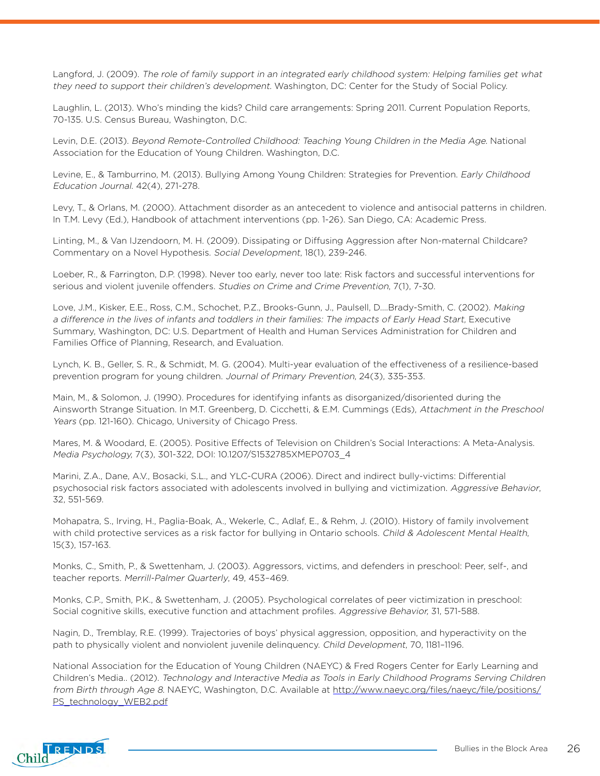Langford, J. (2009). The role of family support in an integrated early childhood system: Helping families get what they need to support their children's development. Washington, DC: Center for the Study of Social Policy.

Laughlin, L. (2013). Who's minding the kids? Child care arrangements: Spring 2011. Current Population Reports, 70-135. U.S. Census Bureau, Washington, D.C.

Levin, D.E. (2013). Beyond Remote-Controlled Childhood: Teaching Young Children in the Media Age. National Association for the Education of Young Children. Washington, D.C.

Levine, E., & Tamburrino, M. (2013). Bullying Among Young Children: Strategies for Prevention. Early Childhood Education Journal. 42(4), 271-278.

Levy, T., & Orlans, M. (2000). Attachment disorder as an antecedent to violence and antisocial patterns in children. In T.M. Levy (Ed.), Handbook of attachment interventions (pp. 1-26). San Diego, CA: Academic Press.

Linting, M., & Van IJzendoorn, M. H. (2009). Dissipating or Diffusing Aggression after Non-maternal Childcare? Commentary on a Novel Hypothesis. Social Development, 18(1), 239-246.

Loeber, R., & Farrington, D.P. (1998). Never too early, never too late: Risk factors and successful interventions for serious and violent juvenile offenders. Studies on Crime and Crime Prevention, 7(1), 7-30.

Love, J.M., Kisker, E.E., Ross, C.M., Schochet, P.Z., Brooks-Gunn, J., Paulsell, D….Brady-Smith, C. (2002). Making a difference in the lives of infants and toddlers in their families: The impacts of Early Head Start, Executive Summary, Washington, DC: U.S. Department of Health and Human Services Administration for Children and Families Office of Planning, Research, and Evaluation.

Lynch, K. B., Geller, S. R., & Schmidt, M. G. (2004). Multi-year evaluation of the effectiveness of a resilience-based prevention program for young children. Journal of Primary Prevention, 24(3), 335-353.

Main, M., & Solomon, J. (1990). Procedures for identifying infants as disorganized/disoriented during the Ainsworth Strange Situation. In M.T. Greenberg, D. Cicchetti, & E.M. Cummings (Eds), Attachment in the Preschool Years (pp. 121-160). Chicago, University of Chicago Press.

Mares, M. & Woodard, E. (2005). Positive Effects of Television on Children's Social Interactions: A Meta-Analysis. Media Psychology, 7(3), 301-322, DOI: 10.1207/S1532785XMEP0703\_4

Marini, Z.A., Dane, A.V., Bosacki, S.L., and YLC-CURA (2006). Direct and indirect bully-victims: Differential psychosocial risk factors associated with adolescents involved in bullying and victimization. Aggressive Behavior, 32, 551-569.

Mohapatra, S., Irving, H., Paglia-Boak, A., Wekerle, C., Adlaf, E., & Rehm, J. (2010). History of family involvement with child protective services as a risk factor for bullying in Ontario schools. Child & Adolescent Mental Health, 15(3), 157-163.

Monks, C., Smith, P., & Swettenham, J. (2003). Aggressors, victims, and defenders in preschool: Peer, self-, and teacher reports. Merrill-Palmer Quarterly, 49, 453–469.

Monks, C.P., Smith, P.K., & Swettenham, J. (2005). Psychological correlates of peer victimization in preschool: Social cognitive skills, executive function and attachment profiles. Aggressive Behavior, 31, 571-588.

Nagin, D., Tremblay, R.E. (1999). Trajectories of boys' physical aggression, opposition, and hyperactivity on the path to physically violent and nonviolent juvenile delinquency. Child Development, 70, 1181–1196.

National Association for the Education of Young Children (NAEYC) & Fred Rogers Center for Early Learning and Children's Media.. (2012). Technology and Interactive Media as Tools in Early Childhood Programs Serving Children from Birth through Age 8. NAEYC, Washington, D.C. Available at [http://www.naeyc.org/files/naeyc/file/positions/](http://www.naeyc.org/files/naeyc/file/positions/PS_technology_WEB2.pdf) [PS\\_technology\\_WEB2.pdf](http://www.naeyc.org/files/naeyc/file/positions/PS_technology_WEB2.pdf)

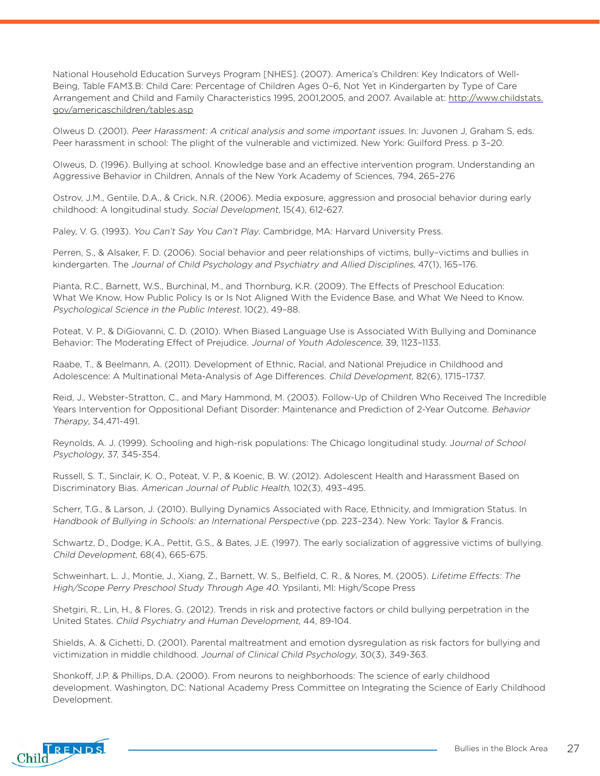National Household Education Surveys Program [NHES]. (2007). America's Children: Key Indicators of Well-Being, Table FAM3.B: Child Care: Percentage of Children Ages 0–6, Not Yet in Kindergarten by Type of Care Arrangement and Child and Family Characteristics 1995, 2001,2005, and 2007. Available at: [http://www.childstats.](http://www.childstats.gov/americaschildren/tables.asp) [gov/americaschildren/tables.asp](http://www.childstats.gov/americaschildren/tables.asp)

Olweus D. (2001). Peer Harassment: A critical analysis and some important issues. In: Juvonen J, Graham S, eds. Peer harassment in school: The plight of the vulnerable and victimized. New York: Guilford Press. p 3–20.

Olweus, D. (1996). Bullying at school. Knowledge base and an effective intervention program. Understanding an Aggressive Behavior in Children, Annals of the New York Academy of Sciences, 794, 265–276

Ostrov, J.M., Gentile, D.A., & Crick, N.R. (2006). Media exposure, aggression and prosocial behavior during early childhood: A longitudinal study. Social Development, 15(4), 612-627.

Paley, V. G. (1993). You Can't Say You Can't Play. Cambridge, MA: Harvard University Press.

Perren, S., & Alsaker, F. D. (2006). Social behavior and peer relationships of victims, bully–victims and bullies in kindergarten. The Journal of Child Psychology and Psychiatry and Allied Disciplines, 47(1), 165–176.

Pianta, R.C., Barnett, W.S., Burchinal, M., and Thornburg, K.R. (2009). The Effects of Preschool Education: What We Know, How Public Policy Is or Is Not Aligned With the Evidence Base, and What We Need to Know. Psychological Science in the Public Interest. 10(2), 49–88.

Poteat, V. P., & DiGiovanni, C. D. (2010). When Biased Language Use is Associated With Bullying and Dominance Behavior: The Moderating Effect of Prejudice. Journal of Youth Adolescence, 39, 1123–1133.

Raabe, T., & Beelmann, A. (2011). Development of Ethnic, Racial, and National Prejudice in Childhood and Adolescence: A Multinational Meta-Analysis of Age Differences. Child Development, 82(6), 1715–1737.

Reid, J., Webster-Stratton, C., and Mary Hammond, M. (2003). Follow-Up of Children Who Received The Incredible Years Intervention for Oppositional Defiant Disorder: Maintenance and Prediction of 2-Year Outcome. Behavior Therapy, 34,471-491.

Reynolds, A. J. (1999). Schooling and high-risk populations: The Chicago longitudinal study. Journal of School Psychology, 37, 345-354.

Russell, S. T., Sinclair, K. O., Poteat, V. P., & Koenic, B. W. (2012). Adolescent Health and Harassment Based on Discriminatory Bias. American Journal of Public Health, 102(3), 493–495.

Scherr, T.G., & Larson, J. (2010). Bullying Dynamics Associated with Race, Ethnicity, and Immigration Status. In Handbook of Bullying in Schools: an International Perspective (pp. 223–234). New York: Taylor & Francis.

Schwartz, D., Dodge, K.A., Pettit, G.S., & Bates, J.E. (1997). The early socialization of aggressive victims of bullying. Child Development, 68(4), 665-675.

Schweinhart, L. J., Montie, J., Xiang, Z., Barnett, W. S., Belfield, C. R., & Nores, M. (2005). Lifetime Effects: The High/Scope Perry Preschool Study Through Age 40. Ypsilanti, MI: High/Scope Press

Shetgiri, R., Lin, H., & Flores, G. (2012). Trends in risk and protective factors or child bullying perpetration in the United States. Child Psychiatry and Human Development, 44, 89-104.

Shields, A. & Cichetti, D. (2001). Parental maltreatment and emotion dysregulation as risk factors for bullying and victimization in middle childhood. Journal of Clinical Child Psychology, 30(3), 349-363.

Shonkoff, J.P. & Phillips, D.A. (2000). From neurons to neighborhoods: The science of early childhood development. Washington, DC: National Academy Press Committee on Integrating the Science of Early Childhood Development.

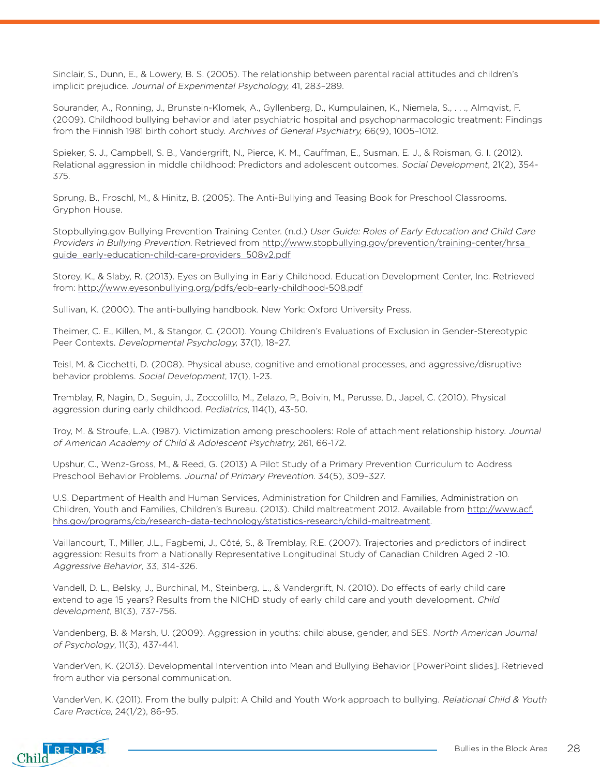Sinclair, S., Dunn, E., & Lowery, B. S. (2005). The relationship between parental racial attitudes and children's implicit prejudice. Journal of Experimental Psychology, 41, 283–289.

Sourander, A., Ronning, J., Brunstein-Klomek, A., Gyllenberg, D., Kumpulainen, K., Niemela, S., . . ., Almqvist, F. (2009). Childhood bullying behavior and later psychiatric hospital and psychopharmacologic treatment: Findings from the Finnish 1981 birth cohort study. Archives of General Psychiatry, 66(9), 1005–1012.

Spieker, S. J., Campbell, S. B., Vandergrift, N., Pierce, K. M., Cauffman, E., Susman, E. J., & Roisman, G. I. (2012). Relational aggression in middle childhood: Predictors and adolescent outcomes. Social Development, 21(2), 354- 375.

Sprung, B., Froschl, M., & Hinitz, B. (2005). The Anti-Bullying and Teasing Book for Preschool Classrooms. Gryphon House.

Stopbullying.gov Bullying Prevention Training Center. (n.d.) User Guide: Roles of Early Education and Child Care Providers in Bullying Prevention. Retrieved from [http://www.stopbullying.gov/prevention/training-center/hrsa\\_](http://www.stopbullying.gov/prevention/training-center/hrsa_guide_early-education-child-care-provide) [guide\\_early-education-child-care-providers\\_508v2.pdf](http://www.stopbullying.gov/prevention/training-center/hrsa_guide_early-education-child-care-provide)

Storey, K., & Slaby, R. (2013). Eyes on Bullying in Early Childhood. Education Development Center, Inc. Retrieved from: <http://www.eyesonbullying.org/pdfs/eob-early-childhood-508.pdf>

Sullivan, K. (2000). The anti-bullying handbook. New York: Oxford University Press.

Theimer, C. E., Killen, M., & Stangor, C. (2001). Young Children's Evaluations of Exclusion in Gender-Stereotypic Peer Contexts. Developmental Psychology, 37(1), 18–27.

Teisl, M. & Cicchetti, D. (2008). Physical abuse, cognitive and emotional processes, and aggressive/disruptive behavior problems. Social Development, 17(1), 1-23.

Tremblay, R, Nagin, D., Seguin, J., Zoccolillo, M., Zelazo, P., Boivin, M., Perusse, D., Japel, C. (2010). Physical aggression during early childhood. Pediatrics, 114(1), 43-50.

Troy, M. & Stroufe, L.A. (1987). Victimization among preschoolers: Role of attachment relationship history. Journal of American Academy of Child & Adolescent Psychiatry, 261, 66-172.

Upshur, C., Wenz-Gross, M., & Reed, G. (2013) A Pilot Study of a Primary Prevention Curriculum to Address Preschool Behavior Problems. Journal of Primary Prevention. 34(5), 309–327.

U.S. Department of Health and Human Services, Administration for Children and Families, Administration on Children, Youth and Families, Children's Bureau. (2013). Child maltreatment 2012. Available from [http://www.acf.](http://www.acf.hhs.gov/programs/cb/research-data-technology/statistics-research/child-maltreatment) [hhs.gov/programs/cb/research-data-technology/statistics-research/child-maltreatment](http://www.acf.hhs.gov/programs/cb/research-data-technology/statistics-research/child-maltreatment).

Vaillancourt, T., Miller, J.L., Fagbemi, J., Côté, S., & Tremblay, R.E. (2007). Trajectories and predictors of indirect aggression: Results from a Nationally Representative Longitudinal Study of Canadian Children Aged 2 -10. Aggressive Behavior, 33, 314-326.

Vandell, D. L., Belsky, J., Burchinal, M., Steinberg, L., & Vandergrift, N. (2010). Do effects of early child care extend to age 15 years? Results from the NICHD study of early child care and youth development. Child development, 81(3), 737-756.

Vandenberg, B. & Marsh, U. (2009). Aggression in youths: child abuse, gender, and SES. North American Journal of Psychology, 11(3), 437-441.

VanderVen, K. (2013). Developmental Intervention into Mean and Bullying Behavior [PowerPoint slides]. Retrieved from author via personal communication.

VanderVen, K. (2011). From the bully pulpit: A Child and Youth Work approach to bullying. Relational Child & Youth Care Practice, 24(1/2), 86-95.

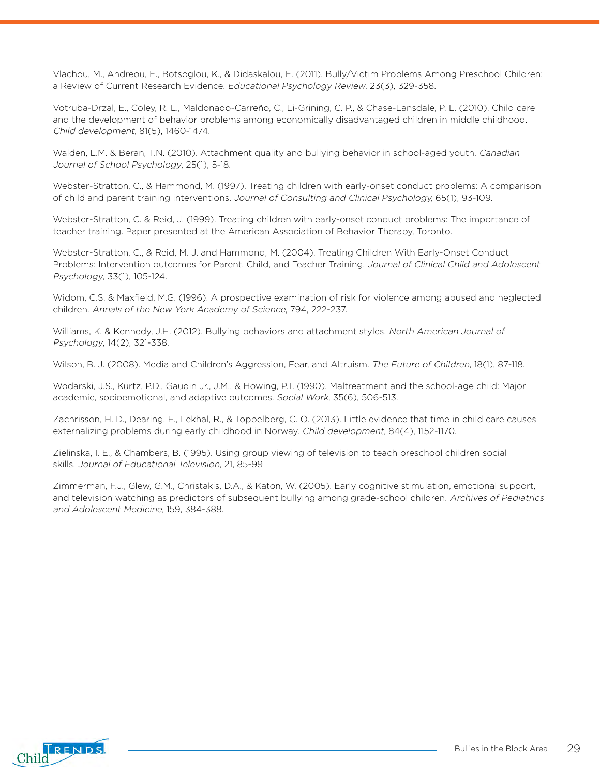Vlachou, M., Andreou, E., Botsoglou, K., & Didaskalou, E. (2011). Bully/Victim Problems Among Preschool Children: a Review of Current Research Evidence. [Educational Psychology Review](http://link.springer.com/journal/10648). 23(3), 329-358.

Votruba-Drzal, E., Coley, R. L., Maldonado-Carreño, C., Li-Grining, C. P., & Chase-Lansdale, P. L. (2010). Child care and the development of behavior problems among economically disadvantaged children in middle childhood. Child development, 81(5), 1460-1474.

Walden, L.M. & Beran, T.N. (2010). Attachment quality and bullying behavior in school-aged youth. Canadian Journal of School Psychology, 25(1), 5-18.

Webster-Stratton, C., & Hammond, M. (1997). Treating children with early-onset conduct problems: A comparison of child and parent training interventions. Journal of Consulting and Clinical Psychology, 65(1), 93-109.

Webster-Stratton, C. & Reid, J. (1999). Treating children with early-onset conduct problems: The importance of teacher training. Paper presented at the American Association of Behavior Therapy, Toronto.

Webster-Stratton, C., & Reid, M. J. and Hammond, M. (2004). Treating Children With Early-Onset Conduct Problems: Intervention outcomes for Parent, Child, and Teacher Training. Journal of Clinical Child and Adolescent Psychology, 33(1), 105-124.

Widom, C.S. & Maxfield, M.G. (1996). A prospective examination of risk for violence among abused and neglected children. Annals of the New York Academy of Science, 794, 222-237.

Williams, K. & Kennedy, J.H. (2012). Bullying behaviors and attachment styles. North American Journal of Psychology, 14(2), 321-338.

Wilson, B. J. (2008). Media and Children's Aggression, Fear, and Altruism. The Future of Children, 18(1), 87-118.

Wodarski, J.S., Kurtz, P.D., Gaudin Jr., J.M., & Howing, P.T. (1990). Maltreatment and the school-age child: Major academic, socioemotional, and adaptive outcomes. Social Work, 35(6), 506-513.

Zachrisson, H. D., Dearing, E., Lekhal, R., & Toppelberg, C. O. (2013). Little evidence that time in child care causes externalizing problems during early childhood in Norway. Child development, 84(4), 1152-1170.

Zielinska, I. E., & Chambers, B. (1995). Using group viewing of television to teach preschool children social skills. Journal of Educational Television, 21, 85-99

Zimmerman, F.J., Glew, G.M., Christakis, D.A., & Katon, W. (2005). Early cognitive stimulation, emotional support, and television watching as predictors of subsequent bullying among grade-school children. Archives of Pediatrics and Adolescent Medicine, 159, 384-388.